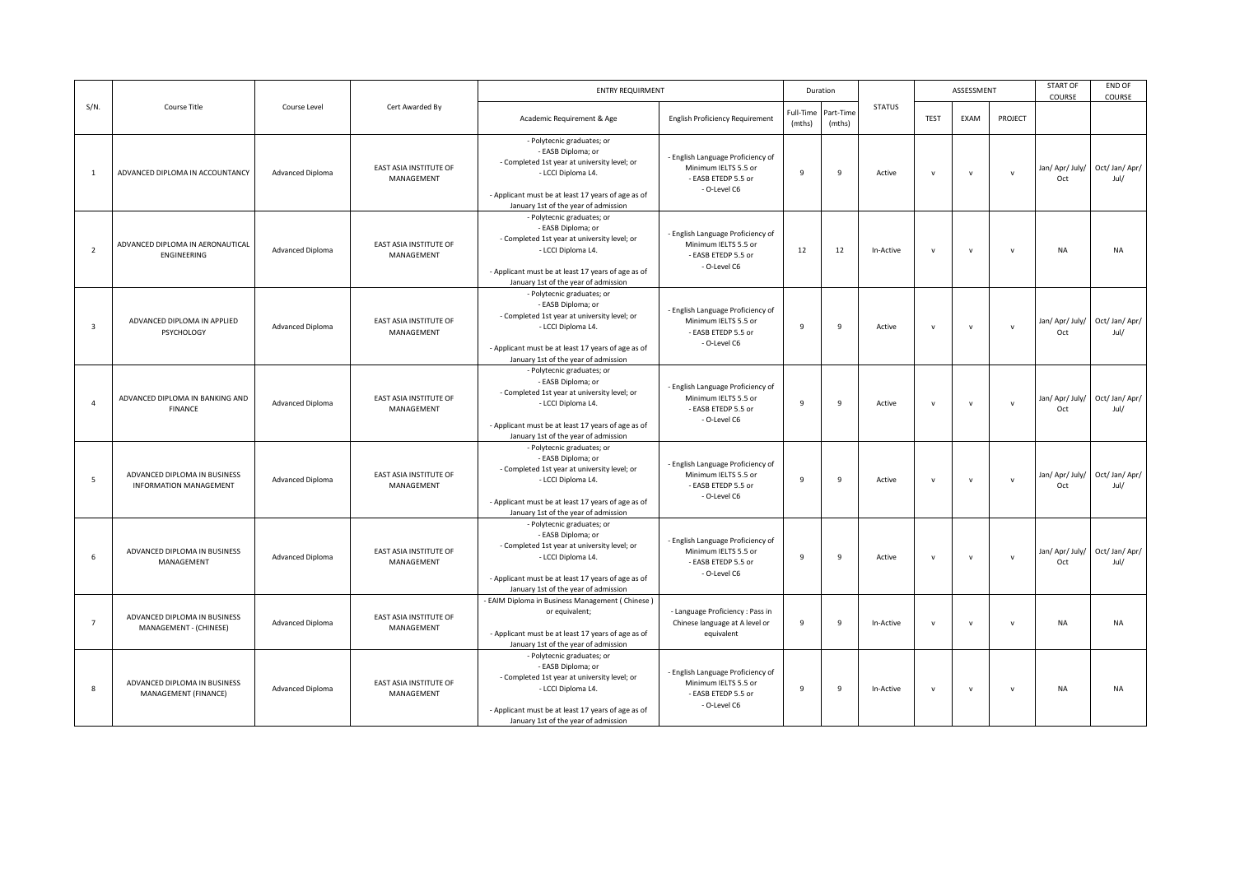|                         |                                                               |                         |                                             | <b>ENTRY REQUIRMENT</b>                                                                                                                                                                                              |                                                                                                  |                     | Duration            |               |              | ASSESSMENT   |              | <b>START OF</b><br>COURSE | END OF<br>COURSE       |
|-------------------------|---------------------------------------------------------------|-------------------------|---------------------------------------------|----------------------------------------------------------------------------------------------------------------------------------------------------------------------------------------------------------------------|--------------------------------------------------------------------------------------------------|---------------------|---------------------|---------------|--------------|--------------|--------------|---------------------------|------------------------|
| $S/N$ .                 | Course Title                                                  | Course Level            | Cert Awarded By                             | Academic Requirement & Age                                                                                                                                                                                           | <b>English Proficiency Requirement</b>                                                           | Full-Time<br>(mths) | Part-Time<br>(mths) | <b>STATUS</b> | <b>TEST</b>  | EXAM         | PROJECT      |                           |                        |
| $\overline{1}$          | ADVANCED DIPLOMA IN ACCOUNTANCY                               | Advanced Diploma        | EAST ASIA INSTITUTE OF<br>MANAGEMENT        | - Polytecnic graduates; or<br>- EASB Diploma; or<br>- Completed 1st year at university level; or<br>- LCCI Diploma L4.<br>- Applicant must be at least 17 years of age as of<br>January 1st of the year of admission | - English Language Proficiency of<br>Minimum IELTS 5.5 or<br>- EASB ETEDP 5.5 or<br>- O-Level C6 | $\mathbf{q}$        | 9                   | Active        | $\mathsf{v}$ | $\mathbf v$  | $\mathbf{v}$ | Jan/ Apr/ July/<br>Oct    | Oct/ Jan/ Apr/<br>Jul/ |
| $\overline{2}$          | ADVANCED DIPLOMA IN AERONAUTICAL<br>ENGINEERING               | Advanced Diploma        | EAST ASIA INSTITUTE OF<br>MANAGEMENT        | - Polytecnic graduates; or<br>- EASB Diploma; or<br>- Completed 1st year at university level; or<br>- LCCI Diploma L4.<br>- Applicant must be at least 17 years of age as of<br>January 1st of the year of admission | - English Language Proficiency of<br>Minimum IELTS 5.5 or<br>- EASB ETEDP 5.5 or<br>- O-Level C6 | 12                  | 12                  | In-Active     | $\mathsf{v}$ | $\mathsf{v}$ | $\mathsf{v}$ | NA                        | <b>NA</b>              |
| $\overline{\mathbf{3}}$ | ADVANCED DIPLOMA IN APPLIED<br>PSYCHOLOGY                     | Advanced Diploma        | EAST ASIA INSTITUTE OF<br>MANAGEMENT        | - Polytecnic graduates; or<br>- EASB Diploma; or<br>- Completed 1st year at university level; or<br>- LCCI Diploma L4.<br>- Applicant must be at least 17 years of age as of<br>January 1st of the year of admission | - English Language Proficiency of<br>Minimum IELTS 5.5 or<br>- EASB ETEDP 5.5 or<br>- O-Level C6 | $\mathbf{q}$        | 9                   | Active        | $\mathsf{v}$ | $\mathsf{v}$ | $\mathbf v$  | Jan/ Apr/ July/<br>Oct    | Oct/ Jan/ Apr/<br>Jul/ |
|                         | ADVANCED DIPLOMA IN BANKING AND<br>FINANCE                    | Advanced Diploma        | EAST ASIA INSTITUTE OF<br>MANAGEMENT        | - Polytecnic graduates; or<br>- EASB Diploma; or<br>- Completed 1st year at university level; or<br>- LCCI Diploma L4.<br>- Applicant must be at least 17 years of age as of<br>January 1st of the year of admission | - English Language Proficiency of<br>Minimum IELTS 5.5 or<br>- EASB ETEDP 5.5 or<br>- O-Level C6 | $\mathbf{q}$        | 9                   | Active        | $\mathsf{v}$ | $\mathsf{v}$ | $\mathbf{v}$ | Jan/ Apr/ July/<br>Oct    | Oct/Jan/Apr/<br>Jul/   |
| 5                       | ADVANCED DIPLOMA IN BUSINESS<br><b>INFORMATION MANAGEMENT</b> | <b>Advanced Diploma</b> | <b>EAST ASIA INSTITUTE OF</b><br>MANAGEMENT | - Polytecnic graduates; or<br>- EASB Diploma; or<br>- Completed 1st year at university level; or<br>- LCCI Diploma L4.<br>- Applicant must be at least 17 years of age as of<br>January 1st of the year of admission | - English Language Proficiency of<br>Minimum IELTS 5.5 or<br>- EASB ETEDP 5.5 or<br>- O-Level C6 | $\mathbf{q}$        | $\overline{9}$      | Active        | $\mathbf v$  | $\mathbf{v}$ | $\mathbf{v}$ | Jan/ Apr/ July/<br>Oct    | Oct/ Jan/ Apr/<br>Jul/ |
| 6                       | ADVANCED DIPLOMA IN BUSINESS<br>MANAGEMENT                    | <b>Advanced Diploma</b> | EAST ASIA INSTITUTE OF<br>MANAGEMENT        | - Polytecnic graduates; or<br>- EASB Diploma; or<br>- Completed 1st year at university level; or<br>- LCCI Diploma L4.<br>- Applicant must be at least 17 years of age as of<br>January 1st of the year of admission | - English Language Proficiency of<br>Minimum IELTS 5.5 or<br>- EASB ETEDP 5.5 or<br>- O-Level C6 | $\mathbf{q}$        | $\mathbf{q}$        | Active        | $\mathsf{v}$ | $\mathbf v$  | $\mathbf{v}$ | Jan/ Apr/ July/<br>Oct    | Oct/ Jan/ Apr/<br>Jul/ |
| $\overline{7}$          | ADVANCED DIPLOMA IN BUSINESS<br>MANAGEMENT - (CHINESE)        | Advanced Diploma        | <b>EAST ASIA INSTITUTE OF</b><br>MANAGEMENT | - EAIM Diploma in Business Management (Chinese)<br>or equivalent;<br>- Applicant must be at least 17 years of age as of<br>January 1st of the year of admission                                                      | - Language Proficiency : Pass in<br>Chinese language at A level or<br>equivalent                 | $\mathbf{q}$        | $\overline{9}$      | In-Active     | $\mathsf{v}$ | $\mathbf v$  | $\mathbf{v}$ | <b>NA</b>                 | <b>NA</b>              |
| 8                       | ADVANCED DIPLOMA IN BUSINESS<br>MANAGEMENT (FINANCE)          | Advanced Diploma        | EAST ASIA INSTITUTE OF<br>MANAGEMENT        | - Polytecnic graduates; or<br>- EASB Diploma; or<br>- Completed 1st year at university level; or<br>- LCCI Diploma L4.<br>- Applicant must be at least 17 years of age as of<br>January 1st of the year of admission | - English Language Proficiency of<br>Minimum IELTS 5.5 or<br>- EASB ETEDP 5.5 or<br>- O-Level C6 | 9                   | 9                   | In-Active     | $\mathsf{v}$ | $\mathsf{v}$ | $\mathsf{v}$ | <b>NA</b>                 | <b>NA</b>              |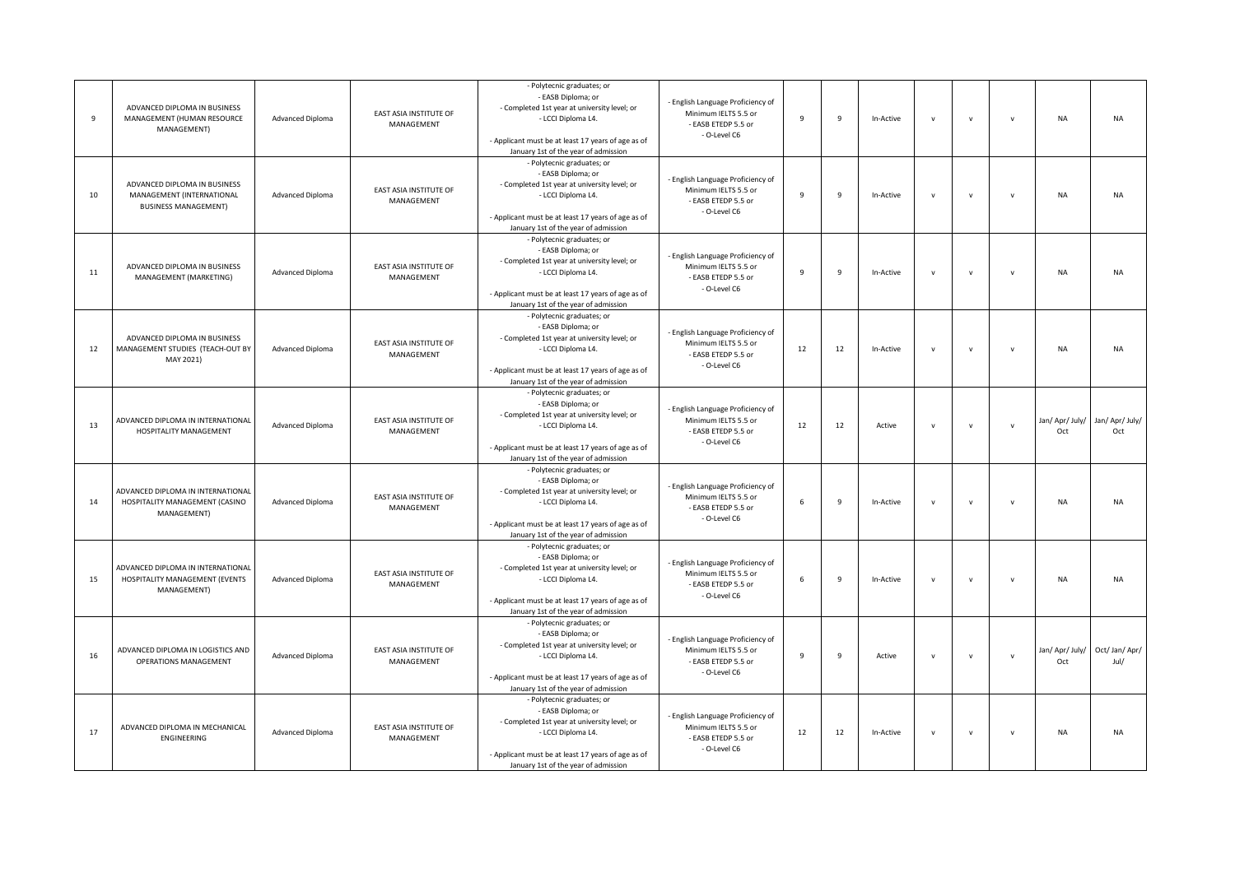| 9  | ADVANCED DIPLOMA IN BUSINESS<br>MANAGEMENT (HUMAN RESOURCE<br>MANAGEMENT)                | <b>Advanced Diploma</b> | EAST ASIA INSTITUTE OF<br>MANAGEMENT        | - Polytecnic graduates; or<br>- EASB Diploma; or<br>- Completed 1st year at university level; or<br>- LCCI Diploma L4.<br>- Applicant must be at least 17 years of age as of<br>January 1st of the year of admission | - English Language Proficiency of<br>Minimum IELTS 5.5 or<br>- EASB ETEDP 5.5 or<br>- O-Level C6 | $\overline{9}$ | 9              | In-Active | $\mathbf{v}$ | $\mathsf{v}$ | $\mathsf{v}$ | <b>NA</b>              | <b>NA</b>              |
|----|------------------------------------------------------------------------------------------|-------------------------|---------------------------------------------|----------------------------------------------------------------------------------------------------------------------------------------------------------------------------------------------------------------------|--------------------------------------------------------------------------------------------------|----------------|----------------|-----------|--------------|--------------|--------------|------------------------|------------------------|
| 10 | ADVANCED DIPLOMA IN BUSINESS<br>MANAGEMENT (INTERNATIONAL<br><b>BUSINESS MANAGEMENT)</b> | Advanced Diploma        | EAST ASIA INSTITUTE OF<br>MANAGEMENT        | - Polytecnic graduates; or<br>- EASB Diploma; or<br>- Completed 1st year at university level; or<br>- LCCI Diploma L4.<br>- Applicant must be at least 17 years of age as of<br>January 1st of the year of admission | - English Language Proficiency of<br>Minimum IELTS 5.5 or<br>- EASB ETEDP 5.5 or<br>- O-Level C6 | $\overline{9}$ | $\overline{9}$ | In-Active | v            | $\mathsf{v}$ | $\mathsf{v}$ | <b>NA</b>              | <b>NA</b>              |
| 11 | ADVANCED DIPLOMA IN BUSINESS<br>MANAGEMENT (MARKETING)                                   | Advanced Diploma        | EAST ASIA INSTITUTE OF<br>MANAGEMENT        | - Polytecnic graduates; or<br>- EASB Diploma; or<br>- Completed 1st year at university level; or<br>- LCCI Diploma L4.<br>- Applicant must be at least 17 years of age as of<br>January 1st of the year of admission | - English Language Proficiency of<br>Minimum IELTS 5.5 or<br>- EASB ETEDP 5.5 or<br>- O-Level C6 | $\mathbf{q}$   | $\overline{9}$ | In-Active | $\mathsf{v}$ | $\mathbf v$  | $\mathsf{v}$ | <b>NA</b>              | <b>NA</b>              |
| 12 | ADVANCED DIPLOMA IN BUSINESS<br>MANAGEMENT STUDIES (TEACH-OUT BY<br>MAY 2021)            | Advanced Diploma        | EAST ASIA INSTITUTE OF<br>MANAGEMENT        | - Polytecnic graduates; or<br>- EASB Diploma; or<br>- Completed 1st year at university level; or<br>- LCCI Diploma L4.<br>- Applicant must be at least 17 years of age as of<br>January 1st of the year of admission | - English Language Proficiency of<br>Minimum IELTS 5.5 or<br>- EASB ETEDP 5.5 or<br>- O-Level C6 | 12             | 12             | In-Active | $\mathbf{v}$ | $\mathbf{v}$ | $\mathbf{v}$ | <b>NA</b>              | <b>NA</b>              |
| 13 | ADVANCED DIPLOMA IN INTERNATIONAL<br>HOSPITALITY MANAGEMENT                              | <b>Advanced Diploma</b> | EAST ASIA INSTITUTE OF<br>MANAGEMENT        | - Polytecnic graduates; or<br>- EASB Diploma; or<br>- Completed 1st year at university level; or<br>- LCCI Diploma L4.<br>- Applicant must be at least 17 years of age as of<br>January 1st of the year of admission | - English Language Proficiency of<br>Minimum IELTS 5.5 or<br>- EASB ETEDP 5.5 or<br>- O-Level C6 | 12             | 12             | Active    | $\mathbf{v}$ | $\mathbf{v}$ | $\mathsf{v}$ | Jan/ Apr/ July/<br>Oct | Jan/ Apr/ July/<br>Oct |
| 14 | ADVANCED DIPLOMA IN INTERNATIONAL<br>HOSPITALITY MANAGEMENT (CASINO<br>MANAGEMENT)       | Advanced Diploma        | EAST ASIA INSTITUTE OF<br>MANAGEMENT        | - Polytecnic graduates; or<br>- EASB Diploma; or<br>- Completed 1st year at university level; or<br>- LCCI Diploma L4.<br>- Applicant must be at least 17 years of age as of<br>January 1st of the year of admission | - English Language Proficiency of<br>Minimum IELTS 5.5 or<br>- EASB ETEDP 5.5 or<br>- O-Level C6 | 6              | $\overline{9}$ | In-Active | v            | $\mathbf{v}$ | $\mathsf{v}$ | <b>NA</b>              | <b>NA</b>              |
| 15 | ADVANCED DIPLOMA IN INTERNATIONAL<br>HOSPITALITY MANAGEMENT (EVENTS<br>MANAGEMENT)       | Advanced Diploma        | EAST ASIA INSTITUTE OF<br>MANAGEMENT        | - Polytecnic graduates; or<br>- EASB Diploma; or<br>- Completed 1st year at university level; or<br>- LCCI Diploma L4.<br>- Applicant must be at least 17 years of age as of<br>January 1st of the year of admission | - English Language Proficiency of<br>Minimum IELTS 5.5 or<br>- EASB ETEDP 5.5 or<br>- O-Level C6 | 6              | $\mathbf{q}$   | In-Active | v            | $\mathbf{v}$ | $\mathbf{v}$ | <b>NA</b>              | <b>NA</b>              |
| 16 | ADVANCED DIPLOMA IN LOGISTICS AND<br>OPERATIONS MANAGEMENT                               | <b>Advanced Diploma</b> | EAST ASIA INSTITUTE OF<br>MANAGEMENT        | - Polytecnic graduates; or<br>- EASB Diploma; or<br>- Completed 1st year at university level; or<br>- LCCI Diploma L4.<br>- Applicant must be at least 17 years of age as of<br>January 1st of the year of admission | - English Language Proficiency of<br>Minimum IELTS 5.5 or<br>- EASB ETEDP 5.5 or<br>- O-Level C6 | $\mathbf{q}$   | 9              | Active    | $\mathbf{v}$ | $\mathbf{v}$ | $\mathbf{v}$ | Jan/ Apr/ July/<br>Oct | Oct/ Jan/ Apr/<br>Jul/ |
| 17 | ADVANCED DIPLOMA IN MECHANICAL<br>ENGINEERING                                            | Advanced Diploma        | <b>EAST ASIA INSTITUTE OF</b><br>MANAGEMENT | - Polytecnic graduates; or<br>- EASB Diploma; or<br>- Completed 1st year at university level; or<br>- LCCI Diploma L4.<br>- Applicant must be at least 17 years of age as of<br>January 1st of the year of admission | - English Language Proficiency of<br>Minimum IELTS 5.5 or<br>- EASB ETEDP 5.5 or<br>- O-Level C6 | 12             | 12             | In-Active | $\mathsf{v}$ | $\mathbf v$  | $\mathsf{v}$ | <b>NA</b>              | <b>NA</b>              |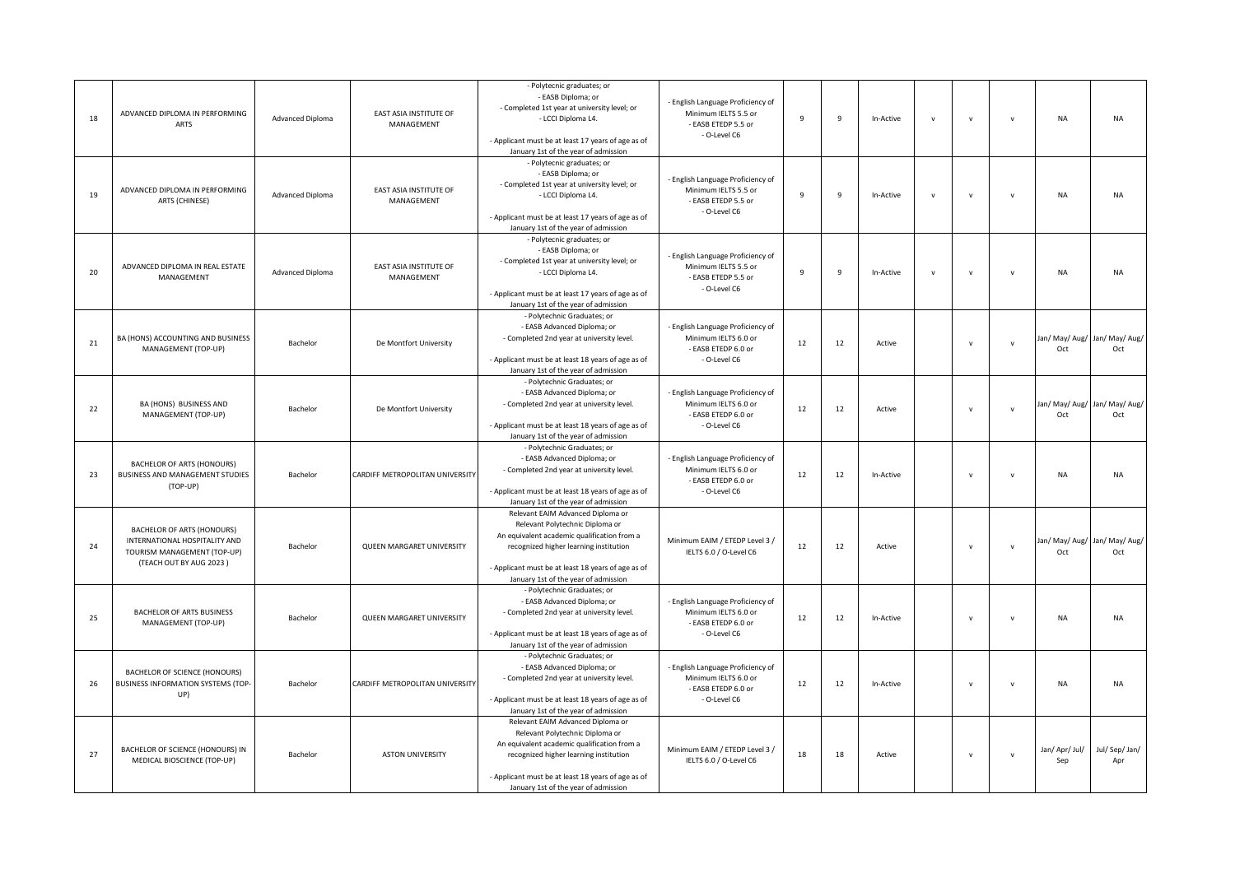| 18 | ADVANCED DIPLOMA IN PERFORMING<br><b>ARTS</b>                                                                                | Advanced Diploma | EAST ASIA INSTITUTE OF<br>MANAGEMENT | - Polytecnic graduates; or<br>- EASB Diploma; or<br>- Completed 1st year at university level; or<br>- LCCI Diploma L4.<br>- Applicant must be at least 17 years of age as of<br>January 1st of the year of admission                                        | - English Language Proficiency of<br>Minimum IELTS 5.5 or<br>- EASB ETEDP 5.5 or<br>- O-Level C6 | $\mathbf{q}$   | 9  | In-Active | $\mathbf{v}$ | $\mathbf{v}$ | $\mathsf{v}$  | <b>NA</b>             | <b>NA</b>                            |
|----|------------------------------------------------------------------------------------------------------------------------------|------------------|--------------------------------------|-------------------------------------------------------------------------------------------------------------------------------------------------------------------------------------------------------------------------------------------------------------|--------------------------------------------------------------------------------------------------|----------------|----|-----------|--------------|--------------|---------------|-----------------------|--------------------------------------|
| 19 | ADVANCED DIPLOMA IN PERFORMING<br>ARTS (CHINESE)                                                                             | Advanced Diploma | EAST ASIA INSTITUTE OF<br>MANAGEMENT | - Polytecnic graduates; or<br>- EASB Diploma; or<br>- Completed 1st year at university level; or<br>- LCCI Diploma L4.<br>- Applicant must be at least 17 years of age as of                                                                                | - English Language Proficiency of<br>Minimum IELTS 5.5 or<br>- EASB ETEDP 5.5 or<br>- O-Level C6 | $\overline{9}$ | 9  | In-Active | $\mathsf{v}$ | $\mathbf{v}$ | $\mathsf{v}$  | <b>NA</b>             | <b>NA</b>                            |
|    |                                                                                                                              |                  |                                      | January 1st of the year of admission                                                                                                                                                                                                                        |                                                                                                  |                |    |           |              |              |               |                       |                                      |
| 20 | ADVANCED DIPLOMA IN REAL ESTATE<br>MANAGEMENT                                                                                | Advanced Diploma | EAST ASIA INSTITUTE OF<br>MANAGEMENT | - Polytecnic graduates; or<br>- EASB Diploma; or<br>- Completed 1st year at university level; or<br>- LCCI Diploma L4.<br>- Applicant must be at least 17 years of age as of<br>January 1st of the year of admission                                        | - English Language Proficiency of<br>Minimum IELTS 5.5 or<br>- EASB ETEDP 5.5 or<br>- O-Level C6 | $\overline{9}$ | 9  | In-Active | $\mathsf{v}$ | $\mathbf{v}$ | $\mathsf{v}$  | <b>NA</b>             | <b>NA</b>                            |
| 21 | BA (HONS) ACCOUNTING AND BUSINESS<br>MANAGEMENT (TOP-UP)                                                                     | Bachelor         | De Montfort University               | - Polytechnic Graduates; or<br>- EASB Advanced Diploma; or<br>- Completed 2nd year at university level.<br>- Applicant must be at least 18 years of age as of<br>January 1st of the year of admission                                                       | - English Language Proficiency of<br>Minimum IELTS 6.0 or<br>- EASB ETEDP 6.0 or<br>- O-Level C6 | 12             | 12 | Active    |              | $\mathbf{v}$ | $\mathsf{v}$  | Oct                   | Jan/ May/ Aug/ Jan/ May/ Aug/<br>Oct |
| 22 | BA (HONS) BUSINESS AND<br>MANAGEMENT (TOP-UP)                                                                                | Bachelor         | De Montfort University               | - Polytechnic Graduates; or<br>- EASB Advanced Diploma; or<br>- Completed 2nd year at university level.<br>- Applicant must be at least 18 years of age as of<br>January 1st of the year of admission                                                       | - English Language Proficiency of<br>Minimum IELTS 6.0 or<br>- EASB ETEDP 6.0 or<br>- O-Level C6 | 12             | 12 | Active    |              | $\mathbf{v}$ | $\mathsf{v}$  | Oct                   | Jan/ May/ Aug/ Jan/ May/ Aug/<br>Oct |
| 23 | <b>BACHELOR OF ARTS (HONOURS)</b><br>BUSINESS AND MANAGEMENT STUDIES<br>(TOP-UP)                                             | Bachelor         | CARDIFF METROPOLITAN UNIVERSITY      | - Polytechnic Graduates; or<br>- EASB Advanced Diploma; or<br>- Completed 2nd year at university level.<br>- Applicant must be at least 18 years of age as of<br>January 1st of the year of admission                                                       | - English Language Proficiency of<br>Minimum IELTS 6.0 or<br>- EASB ETEDP 6.0 or<br>- O-Level C6 | 12             | 12 | In-Active |              | $\mathbf{v}$ | $\mathbf{v}$  | NA                    | <b>NA</b>                            |
| 24 | <b>BACHELOR OF ARTS (HONOURS)</b><br>INTERNATIONAL HOSPITALITY AND<br>TOURISM MANAGEMENT (TOP-UP)<br>(TEACH OUT BY AUG 2023) | Bachelor         | QUEEN MARGARET UNIVERSITY            | Relevant EAIM Advanced Diploma or<br>Relevant Polytechnic Diploma or<br>An equivalent academic qualification from a<br>recognized higher learning institution<br>- Applicant must be at least 18 years of age as of<br>January 1st of the year of admission | Minimum EAIM / ETEDP Level 3 /<br>IELTS 6.0 / O-Level C6                                         | 12             | 12 | Active    |              | $\mathbf{v}$ | $\mathsf{v}$  | Oct                   | Jan/ May/ Aug/ Jan/ May/ Aug/<br>Oct |
| 25 | <b>BACHELOR OF ARTS BUSINESS</b><br>MANAGEMENT (TOP-UP)                                                                      | Bachelor         | QUEEN MARGARET UNIVERSITY            | - Polytechnic Graduates; or<br>- EASB Advanced Diploma; or<br>- Completed 2nd year at university level.<br>- Applicant must be at least 18 years of age as of<br>January 1st of the year of admission                                                       | - English Language Proficiency of<br>Minimum IELTS 6.0 or<br>- EASB ETEDP 6.0 or<br>- O-Level C6 | 12             | 12 | In-Active |              | $\mathbf{v}$ | $\mathsf{v}$  | <b>NA</b>             | <b>NA</b>                            |
| 26 | BACHELOR OF SCIENCE (HONOURS)<br>BUSINESS INFORMATION SYSTEMS (TOP-<br>UP)                                                   | Bachelor         | CARDIFF METROPOLITAN UNIVERSITY      | - Polytechnic Graduates; or<br>- EASB Advanced Diploma; or<br>- Completed 2nd year at university level.<br>- Applicant must be at least 18 years of age as of<br>January 1st of the year of admission                                                       | - English Language Proficiency of<br>Minimum IELTS 6.0 or<br>- EASB ETEDP 6.0 or<br>- O-Level C6 | 12             | 12 | In-Active |              | $\mathbf{v}$ | $\mathsf{v}$  | NA                    | <b>NA</b>                            |
| 27 | BACHELOR OF SCIENCE (HONOURS) IN<br>MEDICAL BIOSCIENCE (TOP-UP)                                                              | Bachelor         | <b>ASTON UNIVERSITY</b>              | Relevant EAIM Advanced Diploma or<br>Relevant Polytechnic Diploma or<br>An equivalent academic qualification from a<br>recognized higher learning institution<br>- Applicant must be at least 18 years of age as of<br>January 1st of the year of admission | Minimum EAIM / ETEDP Level 3 /<br>IELTS 6.0 / O-Level C6                                         | 18             | 18 | Active    |              | $\mathbf{v}$ | ${\mathsf v}$ | Jan/ Apr/ Jul/<br>Sep | Jul/ Sep/ Jan/<br>Apr                |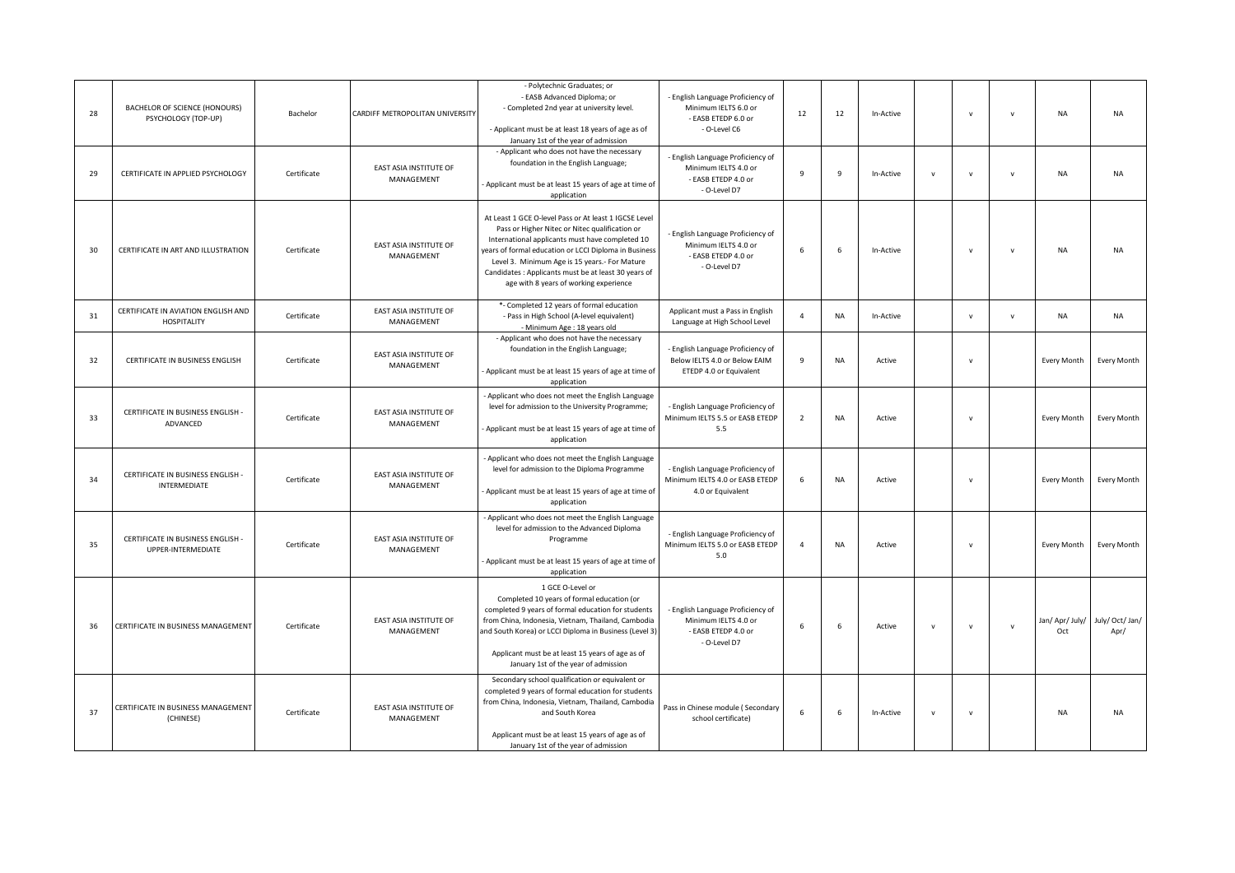| 28 | BACHELOR OF SCIENCE (HONOURS)<br>PSYCHOLOGY (TOP-UP)      | Bachelor    | CARDIFF METROPOLITAN UNIVERSITY             | - Polytechnic Graduates; or<br>- EASB Advanced Diploma; or<br>- Completed 2nd year at university level.<br>- Applicant must be at least 18 years of age as of<br>January 1st of the year of admission                                                                                                                                                                  | - English Language Proficiency of<br>Minimum IELTS 6.0 or<br>- EASB ETEDP 6.0 or<br>- O-Level C6 | 12             | 12        | In-Active |              | $\mathbf v$  | $\mathsf{v}$ | <b>NA</b>              | <b>NA</b>               |
|----|-----------------------------------------------------------|-------------|---------------------------------------------|------------------------------------------------------------------------------------------------------------------------------------------------------------------------------------------------------------------------------------------------------------------------------------------------------------------------------------------------------------------------|--------------------------------------------------------------------------------------------------|----------------|-----------|-----------|--------------|--------------|--------------|------------------------|-------------------------|
| 29 | CERTIFICATE IN APPLIED PSYCHOLOGY                         | Certificate | EAST ASIA INSTITUTE OF<br>MANAGEMENT        | - Applicant who does not have the necessary<br>foundation in the English Language;<br>Applicant must be at least 15 years of age at time of<br>application                                                                                                                                                                                                             | - English Language Proficiency of<br>Minimum IELTS 4.0 or<br>- EASB ETEDP 4.0 or<br>- O-Level D7 | $\overline{9}$ | 9         | In-Active | v            | $\mathbf v$  | $\mathsf{v}$ | <b>NA</b>              | <b>NA</b>               |
| 30 | CERTIFICATE IN ART AND ILLUSTRATION                       | Certificate | <b>EAST ASIA INSTITUTE OF</b><br>MANAGEMENT | At Least 1 GCE O-level Pass or At least 1 IGCSE Level<br>Pass or Higher Nitec or Nitec qualification or<br>International applicants must have completed 10<br>years of formal education or LCCI Diploma in Business<br>Level 3. Minimum Age is 15 years.- For Mature<br>Candidates : Applicants must be at least 30 years of<br>age with 8 years of working experience | - English Language Proficiency of<br>Minimum IELTS 4.0 or<br>- EASB ETEDP 4.0 or<br>- O-Level D7 | 6              | 6         | In-Active |              | $\mathbf v$  | $\mathsf{v}$ | <b>NA</b>              | <b>NA</b>               |
| 31 | CERTIFICATE IN AVIATION ENGLISH AND<br><b>HOSPITALITY</b> | Certificate | EAST ASIA INSTITUTE OF<br>MANAGEMENT        | *- Completed 12 years of formal education<br>- Pass in High School (A-level equivalent)<br>- Minimum Age : 18 years old                                                                                                                                                                                                                                                | Applicant must a Pass in English<br>Language at High School Level                                | $\overline{4}$ | NA        | In-Active |              | ${\sf v}$    | $\mathsf{v}$ | <b>NA</b>              | <b>NA</b>               |
| 32 | CERTIFICATE IN BUSINESS ENGLISH                           | Certificate | EAST ASIA INSTITUTE OF<br>MANAGEMENT        | - Applicant who does not have the necessary<br>foundation in the English Language;<br>Applicant must be at least 15 years of age at time of<br>application                                                                                                                                                                                                             | - English Language Proficiency of<br>Below IELTS 4.0 or Below EAIM<br>ETEDP 4.0 or Equivalent    | 9              | <b>NA</b> | Active    |              | $\mathbf v$  |              | Every Month            | Every Month             |
| 33 | CERTIFICATE IN BUSINESS ENGLISH -<br>ADVANCED             | Certificate | EAST ASIA INSTITUTE OF<br>MANAGEMENT        | - Applicant who does not meet the English Language<br>level for admission to the University Programme;<br>Applicant must be at least 15 years of age at time of<br>application                                                                                                                                                                                         | - English Language Proficiency of<br>Minimum IELTS 5.5 or EASB ETEDP<br>5.5                      | $\overline{2}$ | <b>NA</b> | Active    |              | $\mathbf v$  |              | Every Month            | Every Month             |
| 34 | CERTIFICATE IN BUSINESS ENGLISH -<br>INTERMEDIATE         | Certificate | EAST ASIA INSTITUTE OF<br>MANAGEMENT        | - Applicant who does not meet the English Language<br>level for admission to the Diploma Programme<br>Applicant must be at least 15 years of age at time of<br>application                                                                                                                                                                                             | - English Language Proficiency of<br>Minimum IELTS 4.0 or EASB ETEDP<br>4.0 or Equivalent        | 6              | <b>NA</b> | Active    |              | $\mathbf v$  |              | Every Month            | Every Month             |
| 35 | CERTIFICATE IN BUSINESS ENGLISH -<br>UPPER-INTERMEDIATE   | Certificate | EAST ASIA INSTITUTE OF<br>MANAGEMENT        | - Applicant who does not meet the English Language<br>level for admission to the Advanced Diploma<br>Programme<br>Applicant must be at least 15 years of age at time of<br>application                                                                                                                                                                                 | - English Language Proficiency of<br>Minimum IELTS 5.0 or EASB ETEDP<br>5.0                      | $\overline{4}$ | NA        | Active    |              | $\mathsf{v}$ |              | Every Month            | Every Month             |
| 36 | CERTIFICATE IN BUSINESS MANAGEMENT                        | Certificate | EAST ASIA INSTITUTE OF<br>MANAGEMENT        | 1 GCE O-Level or<br>Completed 10 years of formal education (or<br>completed 9 years of formal education for students<br>from China, Indonesia, Vietnam, Thailand, Cambodia<br>and South Korea) or LCCI Diploma in Business (Level 3)<br>Applicant must be at least 15 years of age as of<br>January 1st of the year of admission                                       | - English Language Proficiency of<br>Minimum IELTS 4.0 or<br>- EASB ETEDP 4.0 or<br>- O-Level D7 | 6              | 6         | Active    | $\mathsf{v}$ | $\mathbf v$  | $\mathbf{v}$ | Jan/ Apr/ July/<br>Oct | July/ Oct/ Jan/<br>Apr/ |
| 37 | CERTIFICATE IN BUSINESS MANAGEMENT<br>(CHINESE)           | Certificate | EAST ASIA INSTITUTE OF<br>MANAGEMENT        | Secondary school qualification or equivalent or<br>completed 9 years of formal education for students<br>from China, Indonesia, Vietnam, Thailand, Cambodia<br>and South Korea<br>Applicant must be at least 15 years of age as of<br>January 1st of the year of admission                                                                                             | Pass in Chinese module (Secondary<br>school certificate)                                         | 6              | 6         | In-Active | $\mathsf{v}$ | $\mathbf v$  |              | <b>NA</b>              | <b>NA</b>               |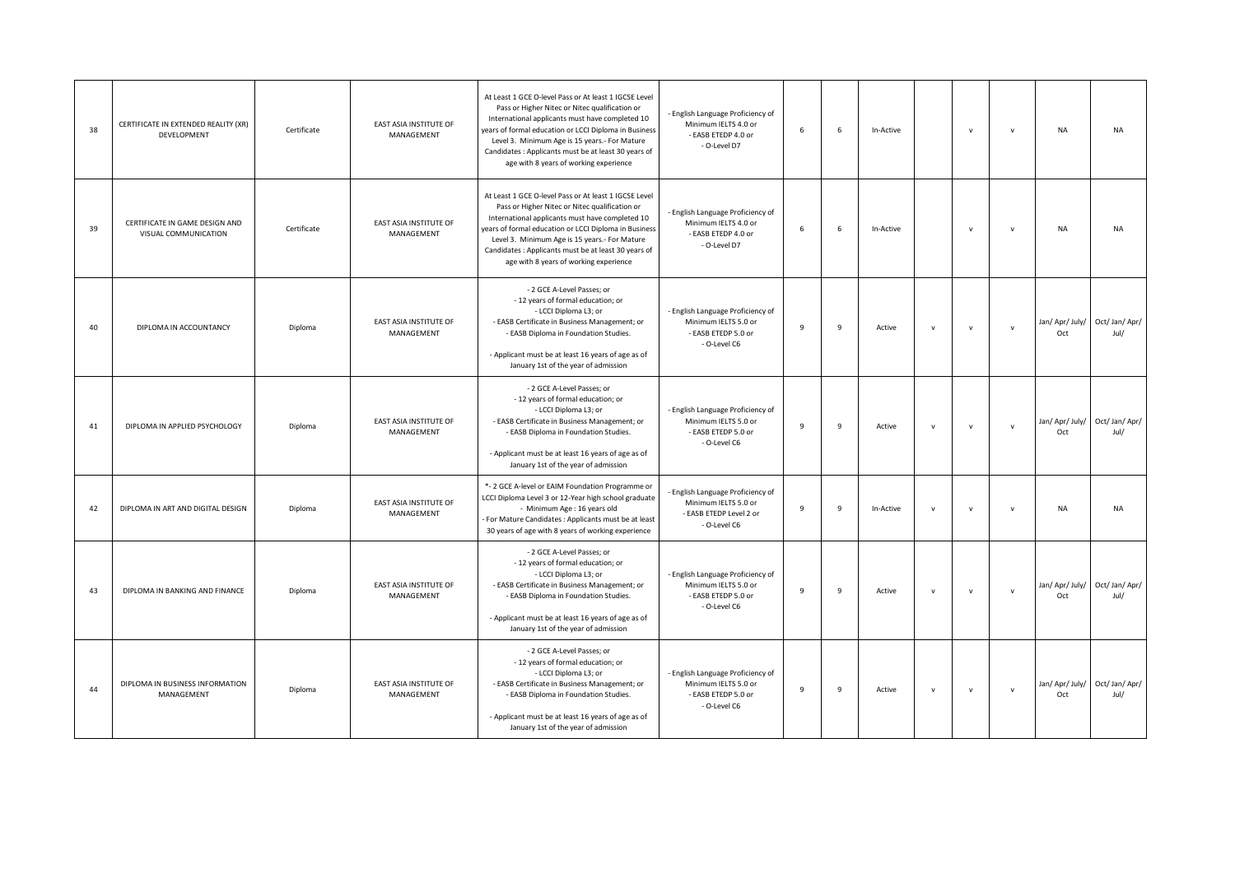| 38 | CERTIFICATE IN EXTENDED REALITY (XR)<br>DEVELOPMENT    | Certificate | EAST ASIA INSTITUTE OF<br>MANAGEMENT | At Least 1 GCE O-level Pass or At least 1 IGCSE Level<br>Pass or Higher Nitec or Nitec qualification or<br>International applicants must have completed 10<br>years of formal education or LCCI Diploma in Business<br>Level 3. Minimum Age is 15 years.- For Mature<br>Candidates : Applicants must be at least 30 years of<br>age with 8 years of working experience | English Language Proficiency of<br>Minimum IELTS 4.0 or<br>- EASB ETEDP 4.0 or<br>- O-Level D7     | 6 | 6 | In-Active |              | $\mathbf v$  | $\mathsf{V}$ | <b>NA</b>              | <b>NA</b>              |
|----|--------------------------------------------------------|-------------|--------------------------------------|------------------------------------------------------------------------------------------------------------------------------------------------------------------------------------------------------------------------------------------------------------------------------------------------------------------------------------------------------------------------|----------------------------------------------------------------------------------------------------|---|---|-----------|--------------|--------------|--------------|------------------------|------------------------|
| 39 | CERTIFICATE IN GAME DESIGN AND<br>VISUAL COMMUNICATION | Certificate | EAST ASIA INSTITUTE OF<br>MANAGEMENT | At Least 1 GCE O-level Pass or At least 1 IGCSE Level<br>Pass or Higher Nitec or Nitec qualification or<br>International applicants must have completed 10<br>years of formal education or LCCI Diploma in Business<br>Level 3. Minimum Age is 15 years.- For Mature<br>Candidates : Applicants must be at least 30 years of<br>age with 8 years of working experience | English Language Proficiency of<br>Minimum IELTS 4.0 or<br>- EASB ETEDP 4.0 or<br>- O-Level D7     | 6 | 6 | In-Active |              | $\mathsf{v}$ | $\mathsf{v}$ | <b>NA</b>              | <b>NA</b>              |
| 40 | DIPLOMA IN ACCOUNTANCY                                 | Diploma     | EAST ASIA INSTITUTE OF<br>MANAGEMENT | - 2 GCE A-Level Passes; or<br>- 12 years of formal education; or<br>- LCCI Diploma L3; or<br>- EASB Certificate in Business Management; or<br>- EASB Diploma in Foundation Studies.<br>- Applicant must be at least 16 years of age as of<br>January 1st of the year of admission                                                                                      | - English Language Proficiency of<br>Minimum IELTS 5.0 or<br>- EASB ETEDP 5.0 or<br>- O-Level C6   | 9 | 9 | Active    | $\mathsf{v}$ | $\mathsf{v}$ | $\mathsf{v}$ | Jan/ Apr/ July/<br>Oct | Oct/Jan/Apr/<br>Jul/   |
| 41 | DIPLOMA IN APPLIED PSYCHOLOGY                          | Diploma     | EAST ASIA INSTITUTE OF<br>MANAGEMENT | - 2 GCE A-Level Passes; or<br>- 12 years of formal education; or<br>- LCCI Diploma L3; or<br>- EASB Certificate in Business Management; or<br>- EASB Diploma in Foundation Studies.<br>- Applicant must be at least 16 years of age as of<br>January 1st of the year of admission                                                                                      | - English Language Proficiency of<br>Minimum IELTS 5.0 or<br>- EASB ETEDP 5.0 or<br>- O-Level C6   | 9 | 9 | Active    | $\mathsf{v}$ | $\mathsf{v}$ | $\mathsf{v}$ | Jan/ Apr/ July/<br>Oct | Oct/Jan/Apr/<br>Jul/   |
| 42 | DIPLOMA IN ART AND DIGITAL DESIGN                      | Diploma     | EAST ASIA INSTITUTE OF<br>MANAGEMENT | *- 2 GCE A-level or EAIM Foundation Programme or<br>LCCI Diploma Level 3 or 12-Year high school graduate<br>- Minimum Age : 16 years old<br>For Mature Candidates : Applicants must be at least<br>30 years of age with 8 years of working experience                                                                                                                  | English Language Proficiency of<br>Minimum IELTS 5.0 or<br>- EASB ETEDP Level 2 or<br>- O-Level C6 | 9 | 9 | In-Active | $\mathbf{v}$ | $\mathsf{v}$ | $\mathsf{v}$ | <b>NA</b>              | <b>NA</b>              |
| 43 | DIPLOMA IN BANKING AND FINANCE                         | Diploma     | EAST ASIA INSTITUTE OF<br>MANAGEMENT | - 2 GCE A-Level Passes; or<br>- 12 years of formal education; or<br>- LCCI Diploma L3; or<br>- EASB Certificate in Business Management; or<br>- EASB Diploma in Foundation Studies.<br>- Applicant must be at least 16 years of age as of<br>January 1st of the year of admission                                                                                      | - English Language Proficiency of<br>Minimum IELTS 5.0 or<br>- EASB ETEDP 5.0 or<br>- O-Level C6   | 9 | 9 | Active    | $\mathsf{v}$ | $\mathsf{v}$ | $\mathsf{v}$ | Jan/ Apr/ July/<br>Oct | Oct/ Jan/ Apr/<br>Jul/ |
| 44 | DIPLOMA IN BUSINESS INFORMATION<br>MANAGEMENT          | Diploma     | EAST ASIA INSTITUTE OF<br>MANAGEMENT | - 2 GCE A-Level Passes; or<br>- 12 years of formal education; or<br>- LCCI Diploma L3; or<br>- EASB Certificate in Business Management; or<br>- EASB Diploma in Foundation Studies.<br>- Applicant must be at least 16 years of age as of<br>January 1st of the year of admission                                                                                      | - English Language Proficiency of<br>Minimum IELTS 5.0 or<br>- EASB ETEDP 5.0 or<br>- O-Level C6   | 9 | 9 | Active    | $\mathsf{v}$ | $\mathbf v$  | $\mathsf{v}$ | Jan/ Apr/ July/<br>Oct | Oct/ Jan/ Apr/<br>Jul/ |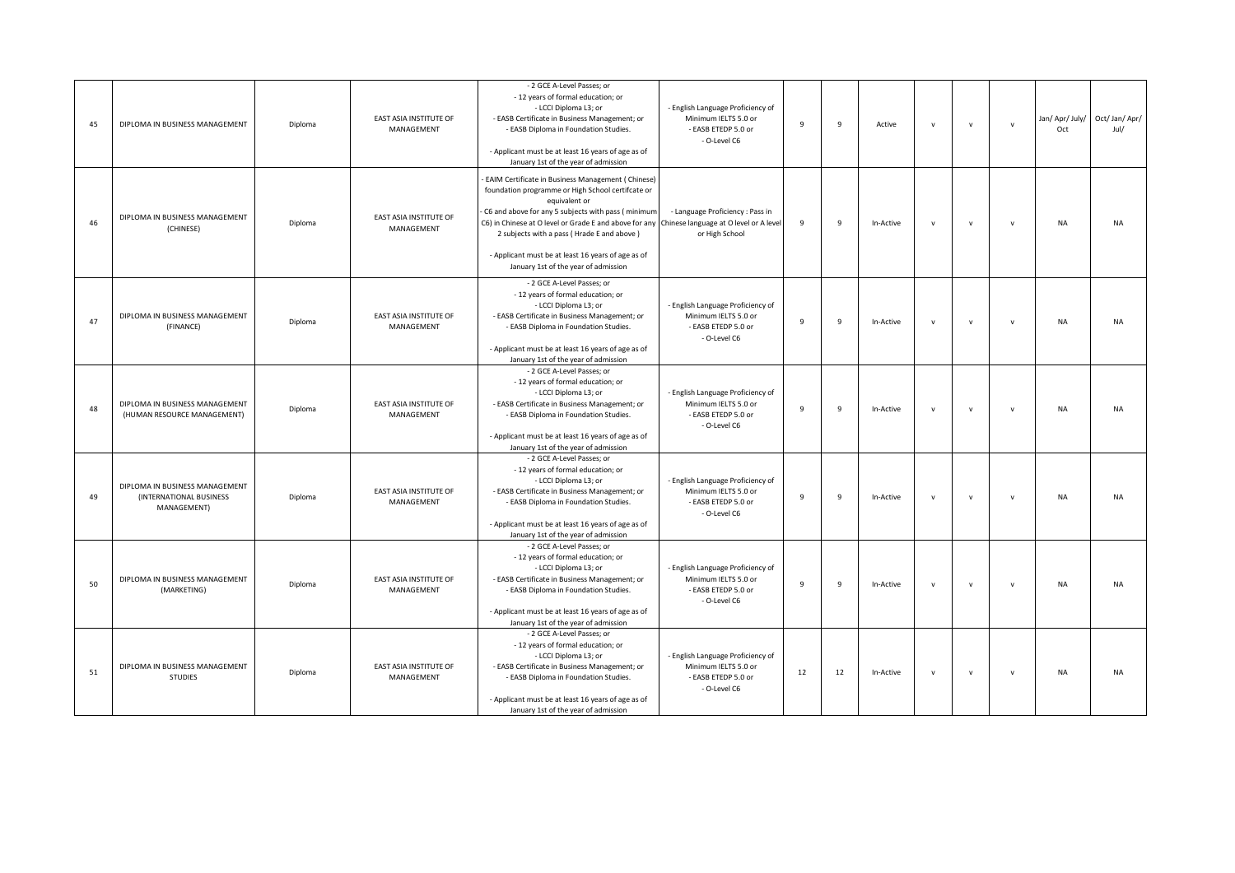| 45 | DIPLOMA IN BUSINESS MANAGEMENT                                           | Diploma | <b>EAST ASIA INSTITUTE OF</b><br>MANAGEMENT | - 2 GCE A-Level Passes; or<br>- 12 years of formal education; or<br>- LCCI Diploma L3; or<br>- EASB Certificate in Business Management; or<br>- EASB Diploma in Foundation Studies.<br>- Applicant must be at least 16 years of age as of<br>January 1st of the year of admission                                                                                                                                         | - English Language Proficiency of<br>Minimum IELTS 5.0 or<br>- FASB FTFDP 5.0 or<br>- O-Level C6 | $\mathbf{q}$   | $\overline{9}$ | Active    | $\mathsf{v}$ | $\mathbf v$  | $\mathbf{v}$ | Jan/ Apr/ July/<br>Oct | Oct/Jan/Apr/<br>Jul/ |
|----|--------------------------------------------------------------------------|---------|---------------------------------------------|---------------------------------------------------------------------------------------------------------------------------------------------------------------------------------------------------------------------------------------------------------------------------------------------------------------------------------------------------------------------------------------------------------------------------|--------------------------------------------------------------------------------------------------|----------------|----------------|-----------|--------------|--------------|--------------|------------------------|----------------------|
| 46 | DIPLOMA IN BUSINESS MANAGEMENT<br>(CHINESE)                              | Diploma | EAST ASIA INSTITUTE OF<br>MANAGEMENT        | EAIM Certificate in Business Management (Chinese)<br>foundation programme or High School certifcate or<br>equivalent or<br>C6 and above for any 5 subjects with pass (minimum<br>C6) in Chinese at O level or Grade E and above for any Chinese language at O level or A leve<br>2 subjects with a pass (Hrade E and above)<br>- Applicant must be at least 16 years of age as of<br>January 1st of the year of admission | - Language Proficiency : Pass in<br>or High School                                               | $\overline{9}$ | $\overline{9}$ | In-Active | $\mathsf{v}$ | $\mathbf v$  | $\mathsf{v}$ | <b>NA</b>              | <b>NA</b>            |
| 47 | DIPLOMA IN BUSINESS MANAGEMENT<br>(FINANCE)                              | Diploma | EAST ASIA INSTITUTE OF<br>MANAGEMENT        | - 2 GCE A-Level Passes; or<br>- 12 years of formal education; or<br>- LCCI Diploma L3; or<br>- EASB Certificate in Business Management; or<br>- EASB Diploma in Foundation Studies.<br>- Applicant must be at least 16 years of age as of<br>January 1st of the year of admission                                                                                                                                         | - English Language Proficiency of<br>Minimum IELTS 5.0 or<br>- EASB ETEDP 5.0 or<br>- O-Level C6 | $\mathbf{q}$   | $\overline{9}$ | In-Active | $\mathsf{v}$ | $\mathbf{v}$ | $\mathbf{v}$ | <b>NA</b>              | <b>NA</b>            |
| 48 | DIPLOMA IN BUSINESS MANAGEMENT<br>(HUMAN RESOURCE MANAGEMENT)            | Diploma | EAST ASIA INSTITUTE OF<br>MANAGEMENT        | - 2 GCE A-Level Passes; or<br>- 12 years of formal education; or<br>- LCCI Diploma L3; or<br>- EASB Certificate in Business Management; or<br>- EASB Diploma in Foundation Studies.<br>- Applicant must be at least 16 years of age as of<br>January 1st of the year of admission                                                                                                                                         | - English Language Proficiency of<br>Minimum IELTS 5.0 or<br>- EASB ETEDP 5.0 or<br>- O-Level C6 | $\mathbf{q}$   | $\mathbf{q}$   | In-Active | $\mathsf{v}$ | $\mathsf{v}$ | $\mathbf{v}$ | <b>NA</b>              | <b>NA</b>            |
| 49 | DIPLOMA IN BUSINESS MANAGEMENT<br>(INTERNATIONAL BUSINESS<br>MANAGEMENT) | Diploma | EAST ASIA INSTITUTE OF<br>MANAGEMENT        | - 2 GCE A-Level Passes; or<br>- 12 years of formal education; or<br>- LCCI Diploma L3; or<br>- EASB Certificate in Business Management; or<br>- EASB Diploma in Foundation Studies.<br>- Applicant must be at least 16 years of age as of<br>January 1st of the year of admission                                                                                                                                         | - English Language Proficiency of<br>Minimum IELTS 5.0 or<br>- EASB ETEDP 5.0 or<br>- O-Level C6 | $\mathbf{q}$   | $\mathbf{q}$   | In-Active | $\mathsf{v}$ | $\mathbf v$  | $\mathbf{v}$ | <b>NA</b>              | <b>NA</b>            |
| 50 | DIPLOMA IN BUSINESS MANAGEMENT<br>(MARKETING)                            | Diploma | EAST ASIA INSTITUTE OF<br>MANAGEMENT        | - 2 GCE A-Level Passes; or<br>- 12 years of formal education; or<br>- LCCI Diploma L3; or<br>- EASB Certificate in Business Management; or<br>- EASB Diploma in Foundation Studies.<br>- Applicant must be at least 16 years of age as of<br>January 1st of the year of admission                                                                                                                                         | - English Language Proficiency of<br>Minimum IELTS 5.0 or<br>- EASB ETEDP 5.0 or<br>- O-Level C6 | $\mathbf{q}$   | $\mathbf{q}$   | In-Active | $\mathsf{v}$ | $\mathsf{v}$ | $\mathbf{v}$ | <b>NA</b>              | <b>NA</b>            |
| 51 | DIPLOMA IN BUSINESS MANAGEMENT<br><b>STUDIES</b>                         | Diploma | EAST ASIA INSTITUTE OF<br>MANAGEMENT        | - 2 GCE A-Level Passes; or<br>- 12 years of formal education; or<br>- LCCI Diploma L3; or<br>- EASB Certificate in Business Management; or<br>- EASB Diploma in Foundation Studies.<br>- Applicant must be at least 16 years of age as of<br>January 1st of the year of admission                                                                                                                                         | - English Language Proficiency of<br>Minimum IELTS 5.0 or<br>- EASB ETEDP 5.0 or<br>- O-Level C6 | 12             | 12             | In-Active | v            | $\mathsf{v}$ | $\mathsf{V}$ | <b>NA</b>              | <b>NA</b>            |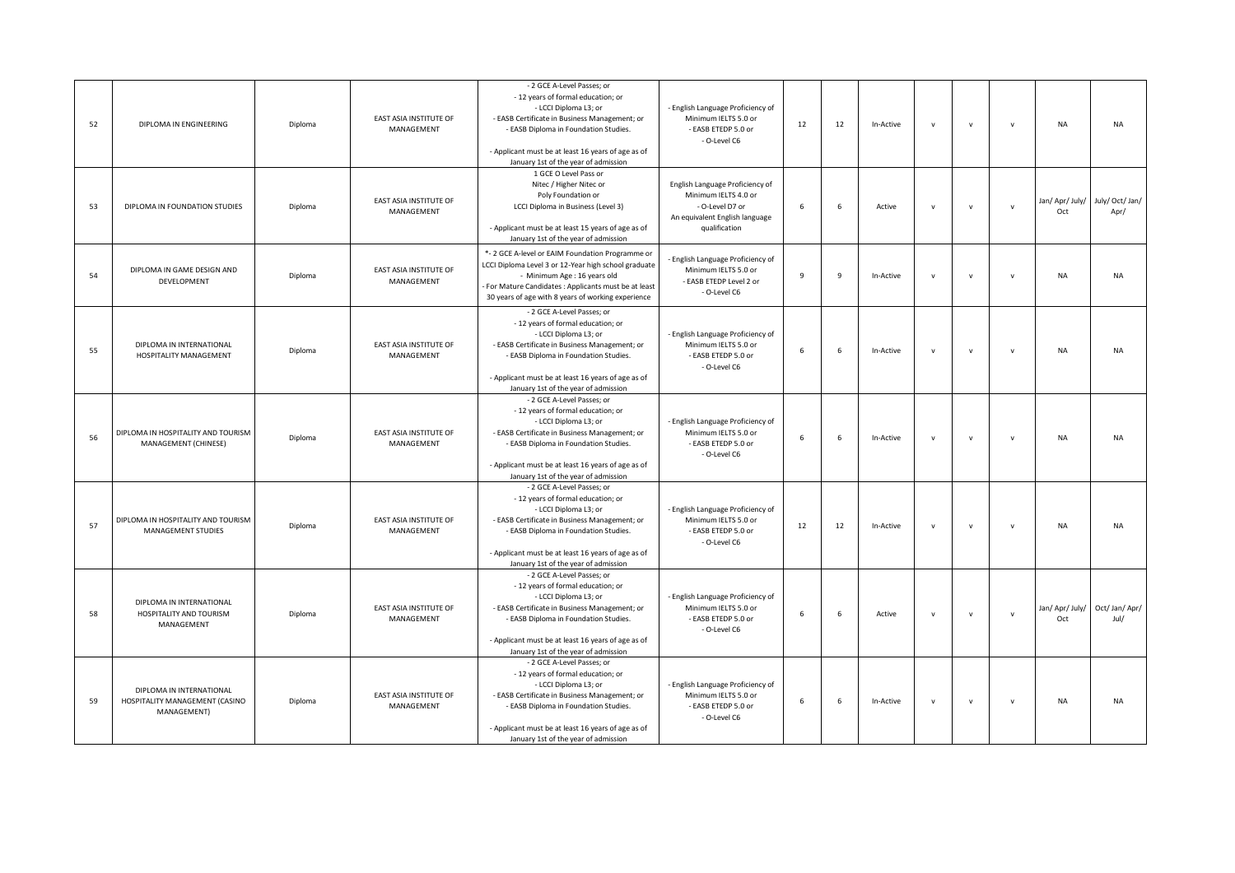| 52 | DIPLOMA IN ENGINEERING                                                    | Diploma | <b>EAST ASIA INSTITUTE OF</b><br>MANAGEMENT | - 2 GCE A-Level Passes; or<br>- 12 years of formal education; or<br>- LCCI Diploma L3; or<br>- EASB Certificate in Business Management; or<br>- EASB Diploma in Foundation Studies.<br>- Applicant must be at least 16 years of age as of<br>January 1st of the year of admission | - English Language Proficiency of<br>Minimum IELTS 5.0 or<br>- EASB ETEDP 5.0 or<br>- O-Level C6                              | 12           | 12             | In-Active | $\mathsf{v}$ | $\mathbf v$  | $\mathbf{v}$ | <b>NA</b>              | <b>NA</b>               |
|----|---------------------------------------------------------------------------|---------|---------------------------------------------|-----------------------------------------------------------------------------------------------------------------------------------------------------------------------------------------------------------------------------------------------------------------------------------|-------------------------------------------------------------------------------------------------------------------------------|--------------|----------------|-----------|--------------|--------------|--------------|------------------------|-------------------------|
| 53 | DIPLOMA IN FOUNDATION STUDIES                                             | Diploma | <b>EAST ASIA INSTITUTE OF</b><br>MANAGEMENT | 1 GCE O Level Pass or<br>Nitec / Higher Nitec or<br>Poly Foundation or<br>LCCI Diploma in Business (Level 3)<br>- Applicant must be at least 15 years of age as of<br>January 1st of the year of admission                                                                        | English Language Proficiency of<br>Minimum IELTS 4.0 or<br>- O-Level D7 or<br>An equivalent English language<br>qualification | 6            | 6              | Active    | $\mathsf{v}$ | $\mathsf{v}$ | $\mathbf{v}$ | Jan/ Apr/ July/<br>Oct | July/ Oct/ Jan/<br>Apr/ |
| 54 | DIPLOMA IN GAME DESIGN AND<br>DEVELOPMENT                                 | Diploma | <b>EAST ASIA INSTITUTE OF</b><br>MANAGEMENT | *- 2 GCE A-level or EAIM Foundation Programme or<br>LCCI Diploma Level 3 or 12-Year high school graduate<br>- Minimum Age : 16 years old<br>For Mature Candidates : Applicants must be at least<br>30 years of age with 8 years of working experience                             | English Language Proficiency of<br>Minimum IELTS 5.0 or<br>- EASB ETEDP Level 2 or<br>- O-Level C6                            | $\mathbf{q}$ | $\overline{9}$ | In-Active | $\mathsf{v}$ | $\mathbf v$  | $\mathsf{v}$ | <b>NA</b>              | <b>NA</b>               |
| 55 | DIPLOMA IN INTERNATIONAL<br>HOSPITALITY MANAGEMENT                        | Diploma | EAST ASIA INSTITUTE OF<br>MANAGEMENT        | - 2 GCE A-Level Passes; or<br>- 12 years of formal education; or<br>- LCCI Diploma L3; or<br>- EASB Certificate in Business Management; or<br>- EASB Diploma in Foundation Studies.<br>- Applicant must be at least 16 years of age as of<br>January 1st of the year of admission | - English Language Proficiency of<br>Minimum IELTS 5.0 or<br>- EASB ETEDP 5.0 or<br>- O-Level C6                              | 6            | 6              | In-Active | $\mathsf{v}$ | $\mathbf v$  | $\mathbf{v}$ | <b>NA</b>              | <b>NA</b>               |
| 56 | DIPLOMA IN HOSPITALITY AND TOURISM<br>MANAGEMENT (CHINESE)                | Diploma | EAST ASIA INSTITUTE OF<br>MANAGEMENT        | - 2 GCE A-Level Passes; or<br>- 12 years of formal education; or<br>- LCCI Diploma L3; or<br>- EASB Certificate in Business Management; or<br>- EASB Diploma in Foundation Studies.<br>- Applicant must be at least 16 years of age as of<br>January 1st of the year of admission | - English Language Proficiency of<br>Minimum IELTS 5.0 or<br>- EASB ETEDP 5.0 or<br>- O-Level C6                              | 6            | 6              | In-Active | $\mathsf{v}$ | $\mathsf{v}$ | $\mathbf{v}$ | <b>NA</b>              | <b>NA</b>               |
| 57 | DIPLOMA IN HOSPITALITY AND TOURISM<br>MANAGEMENT STUDIES                  | Diploma | <b>EAST ASIA INSTITUTE OF</b><br>MANAGEMENT | - 2 GCE A-Level Passes; or<br>- 12 years of formal education; or<br>- LCCI Diploma L3; or<br>- EASB Certificate in Business Management; or<br>- EASB Diploma in Foundation Studies.<br>- Applicant must be at least 16 years of age as of<br>January 1st of the year of admission | - English Language Proficiency of<br>Minimum IELTS 5.0 or<br>- EASB ETEDP 5.0 or<br>- O-Level C6                              | 12           | 12             | In-Active | $\mathsf{v}$ | $\mathbf v$  | $\mathbf{v}$ | <b>NA</b>              | <b>NA</b>               |
| 58 | DIPLOMA IN INTERNATIONAL<br>HOSPITALITY AND TOURISM<br>MANAGEMENT         | Diploma | EAST ASIA INSTITUTE OF<br>MANAGEMENT        | - 2 GCE A-Level Passes; or<br>- 12 years of formal education; or<br>- LCCI Diploma L3; or<br>- EASB Certificate in Business Management; or<br>- EASB Diploma in Foundation Studies.<br>- Applicant must be at least 16 years of age as of<br>January 1st of the year of admission | - English Language Proficiency of<br>Minimum IELTS 5.0 or<br>- EASB ETEDP 5.0 or<br>- O-Level C6                              | 6            | 6              | Active    | $\mathsf{v}$ | $\mathsf{v}$ | $\mathsf{v}$ | Jan/ Apr/ July/<br>Oct | Oct/ Jan/ Apr/<br>Jul/  |
| 59 | DIPLOMA IN INTERNATIONAL<br>HOSPITALITY MANAGEMENT (CASINO<br>MANAGEMENT) | Diploma | EAST ASIA INSTITUTE OF<br>MANAGEMENT        | - 2 GCE A-Level Passes; or<br>- 12 years of formal education; or<br>- LCCI Diploma L3; or<br>- EASB Certificate in Business Management; or<br>- EASB Diploma in Foundation Studies.<br>- Applicant must be at least 16 years of age as of<br>January 1st of the year of admission | - English Language Proficiency of<br>Minimum IELTS 5.0 or<br>- EASB ETEDP 5.0 or<br>- O-Level C6                              | 6            | 6              | In-Active | $\mathsf{v}$ | $\mathsf{v}$ | $\mathbf{v}$ | <b>NA</b>              | <b>NA</b>               |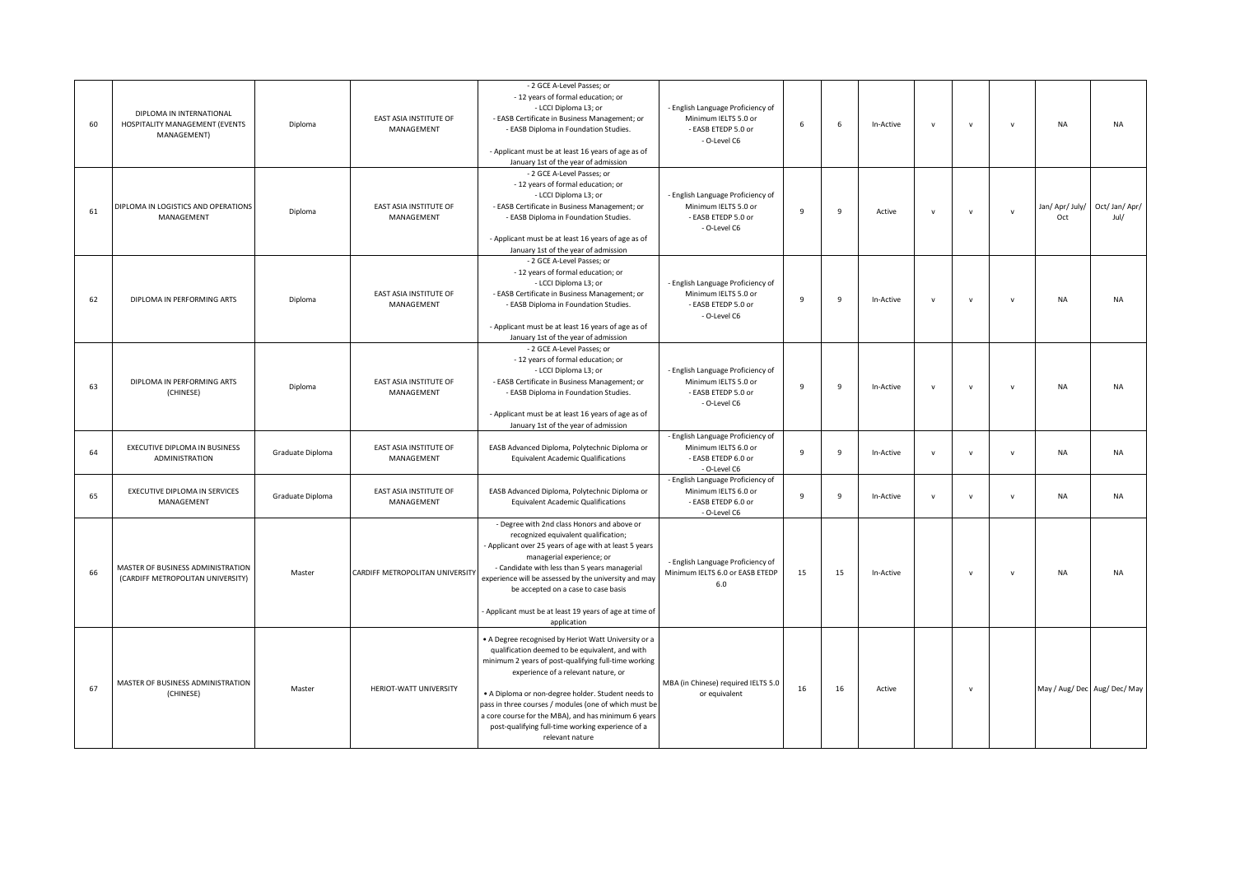| 60 | DIPLOMA IN INTERNATIONAL<br>HOSPITALITY MANAGEMENT (EVENTS<br>MANAGEMENT) | Diploma          | EAST ASIA INSTITUTE OF<br>MANAGEMENT | - 2 GCE A-Level Passes; or<br>- 12 years of formal education; or<br>- LCCI Diploma L3; or<br>- EASB Certificate in Business Management; or<br>- EASB Diploma in Foundation Studies.<br>- Applicant must be at least 16 years of age as of<br>January 1st of the year of admission                                                                                                                                                                    | - English Language Proficiency of<br>Minimum IELTS 5.0 or<br>- EASB ETEDP 5.0 or<br>- O-Level C6 | 6            | 6   | In-Active | $\mathbf{v}$ | $\mathbf v$  | $\mathsf{v}$ | NA                     | <b>NA</b>                    |
|----|---------------------------------------------------------------------------|------------------|--------------------------------------|------------------------------------------------------------------------------------------------------------------------------------------------------------------------------------------------------------------------------------------------------------------------------------------------------------------------------------------------------------------------------------------------------------------------------------------------------|--------------------------------------------------------------------------------------------------|--------------|-----|-----------|--------------|--------------|--------------|------------------------|------------------------------|
| 61 | DIPLOMA IN LOGISTICS AND OPERATIONS<br>MANAGEMENT                         | Diploma          | EAST ASIA INSTITUTE OF<br>MANAGEMENT | - 2 GCE A-Level Passes; or<br>- 12 years of formal education; or<br>- LCCI Diploma L3; or<br>- EASB Certificate in Business Management; or<br>- EASB Diploma in Foundation Studies.<br>- Applicant must be at least 16 years of age as of                                                                                                                                                                                                            | - English Language Proficiency of<br>Minimum IELTS 5.0 or<br>- EASB ETEDP 5.0 or<br>- O-Level C6 | 9            | 9   | Active    | $\mathbf{v}$ | $\mathsf{v}$ | $\mathbf{v}$ | Jan/ Apr/ July/<br>Oct | Oct/Jan/Apr/<br>Jul/         |
| 62 | DIPLOMA IN PERFORMING ARTS                                                | Diploma          | EAST ASIA INSTITUTE OF<br>MANAGEMENT | January 1st of the year of admission<br>- 2 GCE A-Level Passes; or<br>- 12 years of formal education; or<br>- LCCI Diploma L3; or<br>- EASB Certificate in Business Management; or<br>- EASB Diploma in Foundation Studies.<br>- Applicant must be at least 16 years of age as of<br>January 1st of the year of admission                                                                                                                            | - English Language Proficiency of<br>Minimum IELTS 5.0 or<br>- EASB ETEDP 5.0 or<br>- O-Level C6 | 9            | 9   | In-Active | $\mathsf{v}$ | $\mathsf{v}$ | $\mathsf{v}$ | NA                     | <b>NA</b>                    |
| 63 | DIPLOMA IN PERFORMING ARTS<br>(CHINESE)                                   | Diploma          | EAST ASIA INSTITUTE OF<br>MANAGEMENT | - 2 GCE A-Level Passes; or<br>- 12 years of formal education; or<br>- LCCI Diploma L3; or<br>- EASB Certificate in Business Management; or<br>- EASB Diploma in Foundation Studies.<br>- Applicant must be at least 16 years of age as of<br>January 1st of the year of admission                                                                                                                                                                    | - English Language Proficiency of<br>Minimum IELTS 5.0 or<br>- EASB ETEDP 5.0 or<br>- O-Level C6 | $\mathbf{q}$ | - 9 | In-Active | $\mathsf{v}$ | $\mathbf{v}$ | $\mathsf{v}$ | <b>NA</b>              | <b>NA</b>                    |
| 64 | EXECUTIVE DIPLOMA IN BUSINESS<br><b>ADMINISTRATION</b>                    | Graduate Diploma | EAST ASIA INSTITUTE OF<br>MANAGEMENT | EASB Advanced Diploma, Polytechnic Diploma or<br><b>Equivalent Academic Qualifications</b>                                                                                                                                                                                                                                                                                                                                                           | - English Language Proficiency of<br>Minimum IELTS 6.0 or<br>- EASB ETEDP 6.0 or<br>- O-Level C6 | 9            | 9   | In-Active | $\mathsf{v}$ | $\mathbf{v}$ | $\mathsf{v}$ | NA                     | <b>NA</b>                    |
| 65 | EXECUTIVE DIPLOMA IN SERVICES<br>MANAGEMENT                               | Graduate Diploma | EAST ASIA INSTITUTE OF<br>MANAGEMENT | EASB Advanced Diploma, Polytechnic Diploma or<br><b>Equivalent Academic Qualifications</b>                                                                                                                                                                                                                                                                                                                                                           | - English Language Proficiency of<br>Minimum IELTS 6.0 or<br>- EASB ETEDP 6.0 or<br>- O-Level C6 | 9            | 9   | In-Active | $\mathsf{v}$ | $\mathsf{v}$ | $\mathsf{v}$ | NA                     | <b>NA</b>                    |
| 66 | MASTER OF BUSINESS ADMINISTRATION<br>(CARDIFF METROPOLITAN UNIVERSITY)    | Master           | CARDIFF METROPOLITAN UNIVERSITY      | - Degree with 2nd class Honors and above or<br>recognized equivalent qualification;<br>- Applicant over 25 years of age with at least 5 years<br>managerial experience; or<br>- Candidate with less than 5 years managerial<br>experience will be assessed by the university and may<br>be accepted on a case to case basis<br>- Applicant must be at least 19 years of age at time of<br>application                                                | - English Language Proficiency of<br>Minimum IELTS 6.0 or EASB ETEDP<br>6.0                      | 15           | 15  | In-Active |              | $\mathbf v$  | $\mathsf{v}$ | <b>NA</b>              | <b>NA</b>                    |
| 67 | MASTER OF BUSINESS ADMINISTRATION<br>(CHINESE)                            | Master           | HERIOT-WATT UNIVERSITY               | . A Degree recognised by Heriot Watt University or a<br>qualification deemed to be equivalent, and with<br>minimum 2 years of post-qualifying full-time working<br>experience of a relevant nature, or<br>. A Diploma or non-degree holder. Student needs to<br>pass in three courses / modules (one of which must be<br>a core course for the MBA), and has minimum 6 years<br>post-qualifying full-time working experience of a<br>relevant nature | MBA (in Chinese) required IELTS 5.0<br>or equivalent                                             | 16           | 16  | Active    |              | $\mathsf{v}$ |              |                        | May / Aug/ Dec Aug/ Dec/ May |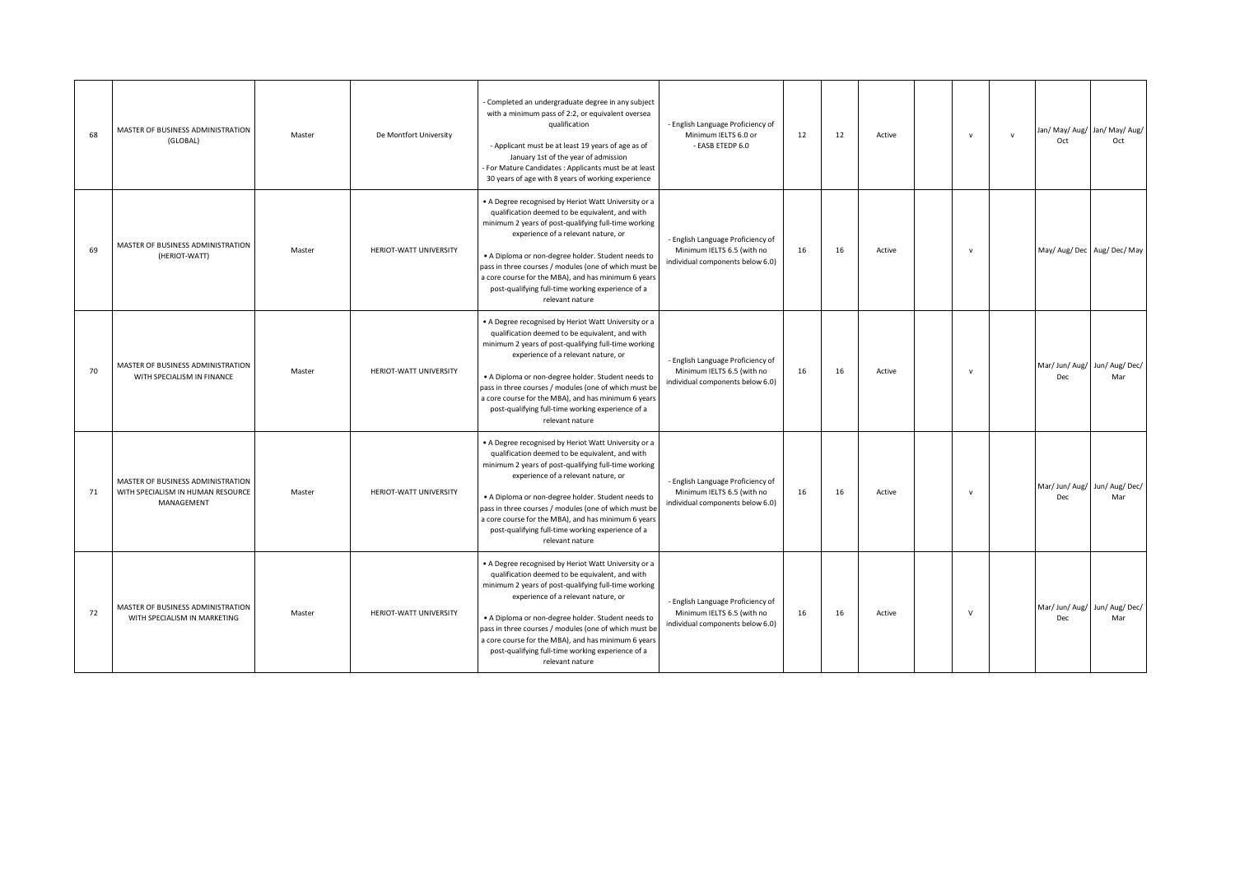| 68 | MASTER OF BUSINESS ADMINISTRATION<br>(GLOBAL)                                        | Master | De Montfort University | - Completed an undergraduate degree in any subject<br>with a minimum pass of 2:2, or equivalent oversea<br>qualification<br>- Applicant must be at least 19 years of age as of<br>January 1st of the year of admission<br>For Mature Candidates : Applicants must be at least<br>30 years of age with 8 years of working experience                                                                                                                  | - English Language Proficiency of<br>Minimum IELTS 6.0 or<br>- EASB ETEDP 6.0                       | 12 | 12 | Active | $\mathbf v$  | $\mathbf v$ | Oct                                  | Jan/ May/ Aug/ Jan/ May/ Aug/<br>Oct |
|----|--------------------------------------------------------------------------------------|--------|------------------------|------------------------------------------------------------------------------------------------------------------------------------------------------------------------------------------------------------------------------------------------------------------------------------------------------------------------------------------------------------------------------------------------------------------------------------------------------|-----------------------------------------------------------------------------------------------------|----|----|--------|--------------|-------------|--------------------------------------|--------------------------------------|
| 69 | MASTER OF BUSINESS ADMINISTRATION<br>(HERIOT-WATT)                                   | Master | HERIOT-WATT UNIVERSITY | . A Degree recognised by Heriot Watt University or a<br>qualification deemed to be equivalent, and with<br>minimum 2 years of post-qualifying full-time working<br>experience of a relevant nature, or<br>· A Diploma or non-degree holder. Student needs to<br>pass in three courses / modules (one of which must be<br>a core course for the MBA), and has minimum 6 years<br>post-qualifying full-time working experience of a<br>relevant nature | - English Language Proficiency of<br>Minimum IELTS 6.5 (with no<br>individual components below 6.0) | 16 | 16 | Active | $\mathsf{v}$ |             |                                      | May/ Aug/ Dec   Aug/ Dec/ May        |
| 70 | MASTER OF BUSINESS ADMINISTRATION<br>WITH SPECIALISM IN FINANCE                      | Master | HERIOT-WATT UNIVERSITY | • A Degree recognised by Heriot Watt University or a<br>qualification deemed to be equivalent, and with<br>minimum 2 years of post-qualifying full-time working<br>experience of a relevant nature, or<br>. A Diploma or non-degree holder. Student needs to<br>pass in three courses / modules (one of which must be<br>a core course for the MBA), and has minimum 6 years<br>post-qualifying full-time working experience of a<br>relevant nature | - English Language Proficiency of<br>Minimum IELTS 6.5 (with no<br>individual components below 6.0) | 16 | 16 | Active | $\mathbf v$  |             | Dec                                  | Mar/ Jun/ Aug/ Jun/ Aug/ Dec/<br>Mar |
| 71 | MASTER OF BUSINESS ADMINISTRATION<br>WITH SPECIALISM IN HUMAN RESOURCE<br>MANAGEMENT | Master | HERIOT-WATT UNIVERSITY | • A Degree recognised by Heriot Watt University or a<br>qualification deemed to be equivalent, and with<br>minimum 2 years of post-qualifying full-time working<br>experience of a relevant nature, or<br>• A Diploma or non-degree holder. Student needs to<br>pass in three courses / modules (one of which must be<br>a core course for the MBA), and has minimum 6 years<br>post-qualifying full-time working experience of a<br>relevant nature | - English Language Proficiency of<br>Minimum IELTS 6.5 (with no<br>individual components below 6.0) | 16 | 16 | Active | $\mathbf v$  |             | Dec                                  | Mar/ Jun/ Aug/ Jun/ Aug/ Dec/<br>Mar |
| 72 | MASTER OF BUSINESS ADMINISTRATION<br>WITH SPECIALISM IN MARKETING                    | Master | HERIOT-WATT UNIVERSITY | • A Degree recognised by Heriot Watt University or a<br>qualification deemed to be equivalent, and with<br>minimum 2 years of post-qualifying full-time working<br>experience of a relevant nature, or<br>· A Diploma or non-degree holder. Student needs to<br>pass in three courses / modules (one of which must be<br>a core course for the MBA), and has minimum 6 years<br>post-qualifying full-time working experience of a<br>relevant nature | - English Language Proficiency of<br>Minimum IELTS 6.5 (with no<br>individual components below 6.0) | 16 | 16 | Active | $\mathsf{v}$ |             | Mar/ Jun/ Aug/ Jun/ Aug/ Dec/<br>Dec | Mar                                  |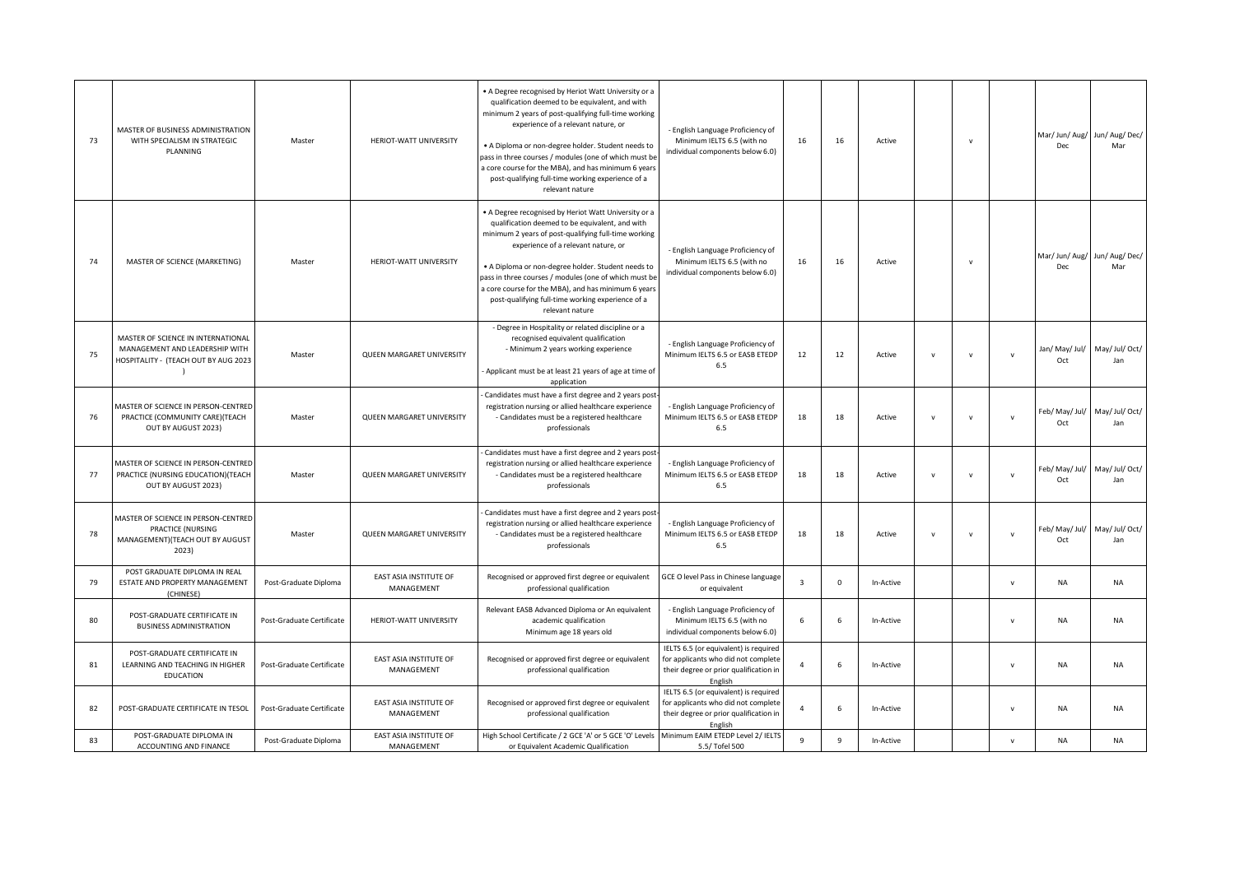| 73 | MASTER OF BUSINESS ADMINISTRATION<br>WITH SPECIALISM IN STRATEGIC<br>PLANNING                                | Master                    | HERIOT-WATT UNIVERSITY               | . A Degree recognised by Heriot Watt University or a<br>qualification deemed to be equivalent, and with<br>minimum 2 years of post-qualifying full-time working<br>experience of a relevant nature, or<br>• A Diploma or non-degree holder. Student needs to<br>pass in three courses / modules (one of which must be<br>a core course for the MBA), and has minimum 6 years<br>post-qualifying full-time working experience of a<br>relevant nature | - English Language Proficiency of<br>Minimum IELTS 6.5 (with no<br>individual components below 6.0)                               | 16             | 16           | Active    |              | $\mathbf v$  |               | Mar/ Jun/ Aug/ Jun/ Aug/ Dec/<br>Dec | Mar                                  |
|----|--------------------------------------------------------------------------------------------------------------|---------------------------|--------------------------------------|------------------------------------------------------------------------------------------------------------------------------------------------------------------------------------------------------------------------------------------------------------------------------------------------------------------------------------------------------------------------------------------------------------------------------------------------------|-----------------------------------------------------------------------------------------------------------------------------------|----------------|--------------|-----------|--------------|--------------|---------------|--------------------------------------|--------------------------------------|
| 74 | MASTER OF SCIENCE (MARKETING)                                                                                | Master                    | HERIOT-WATT UNIVERSITY               | • A Degree recognised by Heriot Watt University or a<br>qualification deemed to be equivalent, and with<br>minimum 2 years of post-qualifying full-time working<br>experience of a relevant nature, or<br>• A Diploma or non-degree holder. Student needs to<br>pass in three courses / modules (one of which must be<br>a core course for the MBA), and has minimum 6 years<br>post-qualifying full-time working experience of a<br>relevant nature | - English Language Proficiency of<br>Minimum IELTS 6.5 (with no<br>individual components below 6.0)                               | 16             | 16           | Active    |              | $\mathbf v$  |               | Mar/ Jun/ Aug/ Jun/ Aug/ Dec/<br>Dec | Mar                                  |
| 75 | MASTER OF SCIENCE IN INTERNATIONAL<br>MANAGEMENT AND LEADERSHIP WITH<br>HOSPITALITY - (TEACH OUT BY AUG 2023 | Master                    | QUEEN MARGARET UNIVERSITY            | - Degree in Hospitality or related discipline or a<br>recognised equivalent qualification<br>- Minimum 2 years working experience<br>Applicant must be at least 21 years of age at time of<br>application                                                                                                                                                                                                                                            | - English Language Proficiency of<br>Minimum IELTS 6.5 or EASB ETEDP<br>6.5                                                       | 12             | 12           | Active    | v            | $\mathbf v$  | $\mathsf{v}$  | Jan/ May/ Jul/ May/ Jul/ Oct/<br>Oct | Jan                                  |
| 76 | MASTER OF SCIENCE IN PERSON-CENTRED<br>PRACTICE (COMMUNITY CARE) (TEACH<br>OUT BY AUGUST 2023)               | Master                    | QUEEN MARGARET UNIVERSITY            | Candidates must have a first degree and 2 years post-<br>registration nursing or allied healthcare experience<br>- Candidates must be a registered healthcare<br>professionals                                                                                                                                                                                                                                                                       | - English Language Proficiency of<br>Minimum IELTS 6.5 or EASB ETEDP<br>6.5                                                       | 18             | 18           | Active    | v            | $\mathbf{v}$ | $\mathsf{v}$  | Oct                                  | Feb/ May/ Jul/ May/ Jul/ Oct/<br>Jan |
| 77 | MASTER OF SCIENCE IN PERSON-CENTRED<br>PRACTICE (NURSING EDUCATION) (TEACH<br>OUT BY AUGUST 2023)            | Master                    | QUEEN MARGARET UNIVERSITY            | Candidates must have a first degree and 2 years post-<br>registration nursing or allied healthcare experience<br>- Candidates must be a registered healthcare<br>professionals                                                                                                                                                                                                                                                                       | - English Language Proficiency of<br>Minimum IELTS 6.5 or EASB ETEDP<br>6.5                                                       | 18             | 18           | Active    | $\mathsf{v}$ | $\mathbf v$  | ${\mathsf v}$ | Feb/ May/ Jul/<br>Oct                | May/ Jul/ Oct/<br>Jan                |
| 78 | MASTER OF SCIENCE IN PERSON-CENTRED<br>PRACTICE (NURSING<br>MANAGEMENT)(TEACH OUT BY AUGUST<br>2023)         | Master                    | QUEEN MARGARET UNIVERSITY            | Candidates must have a first degree and 2 years post-<br>registration nursing or allied healthcare experience<br>- Candidates must be a registered healthcare<br>professionals                                                                                                                                                                                                                                                                       | - English Language Proficiency of<br>Minimum IELTS 6.5 or EASB ETEDP<br>6.5                                                       | 18             | 18           | Active    | $\mathsf{v}$ | ${\sf v}$    | $\mathbf{v}$  | Oct                                  | Feb/ May/ Jul/ May/ Jul/ Oct/<br>Jan |
| 79 | POST GRADUATE DIPLOMA IN REAL<br>ESTATE AND PROPERTY MANAGEMENT<br>(CHINESE)                                 | Post-Graduate Diploma     | EAST ASIA INSTITUTE OF<br>MANAGEMENT | Recognised or approved first degree or equivalent<br>professional qualification                                                                                                                                                                                                                                                                                                                                                                      | GCE O level Pass in Chinese language<br>or equivalent                                                                             | 3              | 0            | In-Active |              |              | $\mathsf{v}$  | ΝA                                   | NA                                   |
| 80 | POST-GRADUATE CERTIFICATE IN<br><b>BUSINESS ADMINISTRATION</b>                                               | Post-Graduate Certificate | HERIOT-WATT UNIVERSITY               | Relevant EASB Advanced Diploma or An equivalent<br>academic qualification<br>Minimum age 18 years old                                                                                                                                                                                                                                                                                                                                                | - English Language Proficiency of<br>Minimum IELTS 6.5 (with no<br>individual components below 6.0)                               | 6              | 6            | In-Active |              |              | $\mathsf{v}$  | NA                                   | <b>NA</b>                            |
| 81 | POST-GRADUATE CERTIFICATE IN<br>LEARNING AND TEACHING IN HIGHER<br><b>EDUCATION</b>                          | Post-Graduate Certificate | EAST ASIA INSTITUTE OF<br>MANAGEMENT | Recognised or approved first degree or equivalent<br>professional qualification                                                                                                                                                                                                                                                                                                                                                                      | IELTS 6.5 (or equivalent) is required<br>for applicants who did not complete<br>their degree or prior qualification in<br>English | $\overline{4}$ | 6            | In-Active |              |              | $\mathbf{v}$  | <b>NA</b>                            | <b>NA</b>                            |
| 82 | POST-GRADUATE CERTIFICATE IN TESOL                                                                           | Post-Graduate Certificate | EAST ASIA INSTITUTE OF<br>MANAGEMENT | Recognised or approved first degree or equivalent<br>professional qualification                                                                                                                                                                                                                                                                                                                                                                      | IELTS 6.5 (or equivalent) is required<br>for applicants who did not complete<br>their degree or prior qualification in<br>English | $\overline{4}$ | 6            | In-Active |              |              | $\mathsf{v}$  | <b>NA</b>                            | <b>NA</b>                            |
| 83 | POST-GRADUATE DIPLOMA IN<br>ACCOUNTING AND FINANCE                                                           | Post-Graduate Diploma     | EAST ASIA INSTITUTE OF<br>MANAGEMENT | High School Certificate / 2 GCE 'A' or 5 GCE 'O' Levels   Minimum EAIM ETEDP Level 2/ IELTS<br>or Equivalent Academic Qualification                                                                                                                                                                                                                                                                                                                  | 5.5/ Tofel 500                                                                                                                    | 9              | $\mathbf{q}$ | In-Active |              |              | $\mathbf{v}$  | <b>NA</b>                            | <b>NA</b>                            |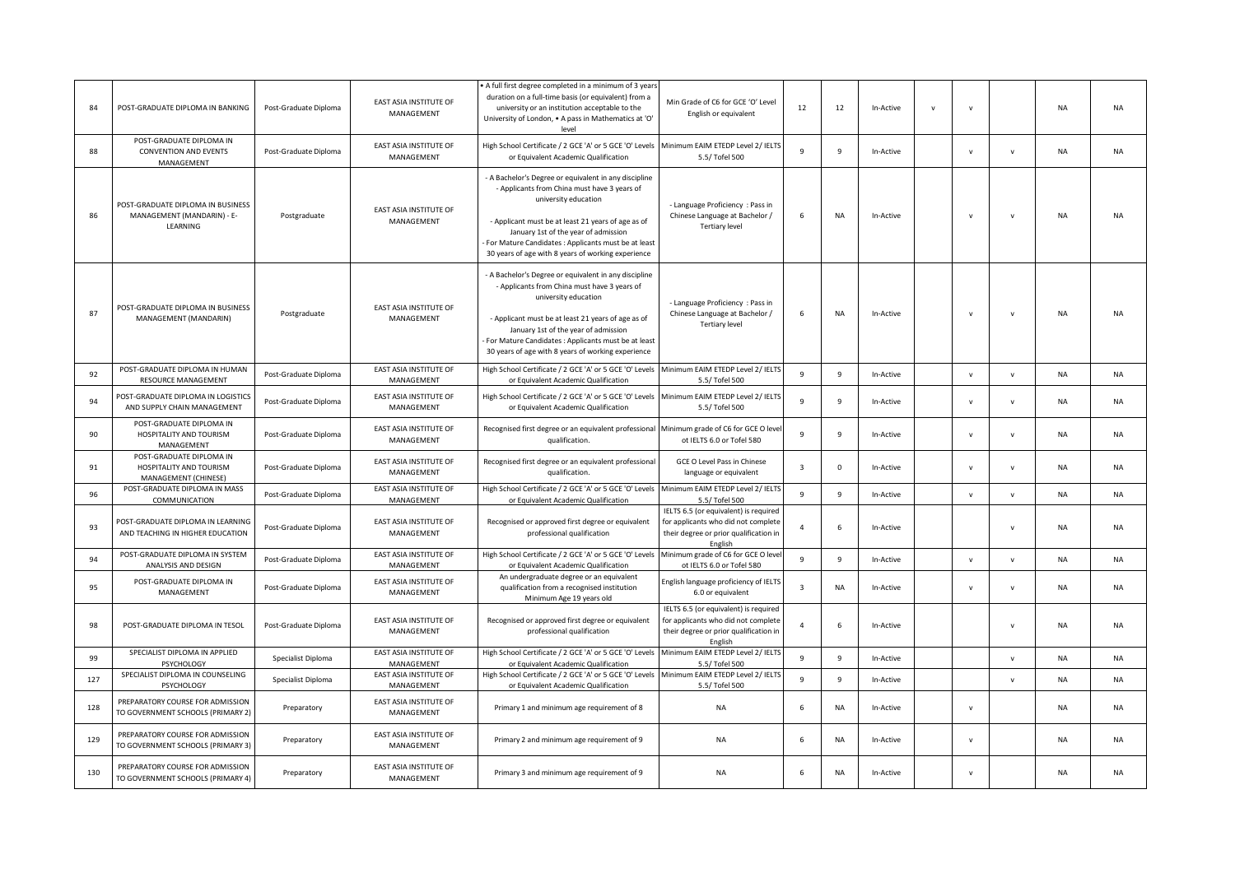| 84  | POST-GRADUATE DIPLOMA IN BANKING                                            | Post-Graduate Diploma | <b>EAST ASIA INSTITUTE OF</b><br>MANAGEMENT | . A full first degree completed in a minimum of 3 years<br>duration on a full-time basis (or equivalent) from a<br>university or an institution acceptable to the<br>University of London, . A pass in Mathematics at 'O'<br>level                                                                                                         | Min Grade of C6 for GCE 'O' Level<br>English or equivalent                                                                        | 12                      | 12           | In-Active | $\mathsf{v}$ | $\mathbf v$  |              | <b>NA</b> | <b>NA</b> |
|-----|-----------------------------------------------------------------------------|-----------------------|---------------------------------------------|--------------------------------------------------------------------------------------------------------------------------------------------------------------------------------------------------------------------------------------------------------------------------------------------------------------------------------------------|-----------------------------------------------------------------------------------------------------------------------------------|-------------------------|--------------|-----------|--------------|--------------|--------------|-----------|-----------|
| 88  | POST-GRADUATE DIPLOMA IN<br><b>CONVENTION AND EVENTS</b><br>MANAGEMENT      | Post-Graduate Diploma | EAST ASIA INSTITUTE OF<br>MANAGEMENT        | High School Certificate / 2 GCE 'A' or 5 GCE 'O' Levels<br>or Equivalent Academic Qualification                                                                                                                                                                                                                                            | Minimum EAIM ETEDP Level 2/ IELT<br>5.5/ Tofel 500                                                                                | $\overline{9}$          | 9            | In-Active |              | $\mathsf{v}$ | $\mathsf{v}$ | NA        | <b>NA</b> |
| 86  | POST-GRADUATE DIPLOMA IN BUSINESS<br>MANAGEMENT (MANDARIN) - E-<br>LEARNING | Postgraduate          | EAST ASIA INSTITUTE OF<br>MANAGEMENT        | - A Bachelor's Degree or equivalent in any discipline<br>- Applicants from China must have 3 years of<br>university education<br>- Applicant must be at least 21 years of age as of<br>January 1st of the year of admission<br>- For Mature Candidates : Applicants must be at least<br>30 years of age with 8 years of working experience | - Language Proficiency : Pass in<br>Chinese Language at Bachelor /<br><b>Tertiary level</b>                                       | 6                       | NA           | In-Active |              | $\mathbf v$  | $\mathsf{v}$ | NA        | <b>NA</b> |
| 87  | POST-GRADUATE DIPLOMA IN BUSINESS<br>MANAGEMENT (MANDARIN)                  | Postgraduate          | EAST ASIA INSTITUTE OF<br>MANAGEMENT        | - A Bachelor's Degree or equivalent in any discipline<br>- Applicants from China must have 3 years of<br>university education<br>- Applicant must be at least 21 years of age as of<br>January 1st of the year of admission<br>- For Mature Candidates : Applicants must be at least<br>30 years of age with 8 years of working experience | - Language Proficiency : Pass in<br>Chinese Language at Bachelor /<br><b>Tertiary level</b>                                       | 6                       | NA           | In-Active |              | v            | $\mathbf{v}$ | NA        | <b>NA</b> |
| 92  | POST-GRADUATE DIPLOMA IN HUMAN<br>RESOURCE MANAGEMENT                       | Post-Graduate Diploma | EAST ASIA INSTITUTE OF<br>MANAGEMENT        | High School Certificate / 2 GCE 'A' or 5 GCE 'O' Levels<br>or Equivalent Academic Qualification                                                                                                                                                                                                                                            | Minimum EAIM ETEDP Level 2/ IELT<br>5.5/ Tofel 500                                                                                | 9                       | 9            | In-Active |              | $\mathsf{v}$ | ${\sf v}$    | NA        | <b>NA</b> |
| 94  | OST-GRADUATE DIPLOMA IN LOGISTICS<br>AND SUPPLY CHAIN MANAGEMENT            | Post-Graduate Diploma | EAST ASIA INSTITUTE OF<br>MANAGEMENT        | High School Certificate / 2 GCE 'A' or 5 GCE 'O' Levels<br>or Equivalent Academic Qualification                                                                                                                                                                                                                                            | Minimum EAIM ETEDP Level 2/ IELTS<br>5.5/ Tofel 500                                                                               | $\overline{9}$          | 9            | In-Active |              | $\mathbf{v}$ | $\mathsf{v}$ | NA        | <b>NA</b> |
| 90  | POST-GRADUATE DIPLOMA IN<br>HOSPITALITY AND TOURISM<br>MANAGEMENT           | Post-Graduate Diploma | EAST ASIA INSTITUTE OF<br>MANAGEMENT        | Recognised first degree or an equivalent professional Minimum grade of C6 for GCE O leve<br>qualification.                                                                                                                                                                                                                                 | ot IELTS 6.0 or Tofel 580                                                                                                         | $\mathbf{q}$            | 9            | In-Active |              | $\mathbf{v}$ | $\mathsf{v}$ | NA        | <b>NA</b> |
| 91  | POST-GRADUATE DIPLOMA IN<br>HOSPITALITY AND TOURISM<br>MANAGEMENT (CHINESE) | Post-Graduate Diploma | EAST ASIA INSTITUTE OF<br>MANAGEMENT        | Recognised first degree or an equivalent professional<br>qualification.                                                                                                                                                                                                                                                                    | GCE O Level Pass in Chinese<br>language or equivalent                                                                             | $\overline{\mathbf{3}}$ | 0            | In-Active |              | $\mathsf{v}$ | $\mathsf{v}$ | NA        | <b>NA</b> |
| 96  | POST-GRADUATE DIPLOMA IN MASS<br><b>COMMUNICATION</b>                       | Post-Graduate Diploma | EAST ASIA INSTITUTE OF<br>MANAGEMENT        | High School Certificate / 2 GCE 'A' or 5 GCE 'O' Levels<br>or Equivalent Academic Qualification                                                                                                                                                                                                                                            | Minimum EAIM ETEDP Level 2/ IELT<br>5.5/ Tofel 500                                                                                | 9                       | 9            | In-Active |              | $\mathsf{v}$ | $\mathsf{v}$ | <b>NA</b> | <b>NA</b> |
| 93  | POST-GRADUATE DIPLOMA IN LEARNING<br>AND TEACHING IN HIGHER EDUCATION       | Post-Graduate Diploma | EAST ASIA INSTITUTE OF<br>MANAGEMENT        | Recognised or approved first degree or equivalent<br>professional qualification                                                                                                                                                                                                                                                            | IELTS 6.5 (or equivalent) is required<br>for applicants who did not complete<br>their degree or prior qualification in<br>English | $\overline{a}$          | 6            | In-Active |              |              | $\mathbf{v}$ | NA        | <b>NA</b> |
| 94  | POST-GRADUATE DIPLOMA IN SYSTEM<br>ANALYSIS AND DESIGN                      | Post-Graduate Diploma | EAST ASIA INSTITUTE OF<br>MANAGEMENT        | High School Certificate / 2 GCE 'A' or 5 GCE 'O' Levels<br>or Equivalent Academic Qualification                                                                                                                                                                                                                                            | Minimum grade of C6 for GCE O leve<br>ot IELTS 6.0 or Tofel 580                                                                   | $\overline{9}$          | $\mathbf{q}$ | In-Active |              | $\mathbf{v}$ | $\mathbf{v}$ | NA        | <b>NA</b> |
| 95  | POST-GRADUATE DIPLOMA IN<br>MANAGEMENT                                      | Post-Graduate Diploma | EAST ASIA INSTITUTE OF<br>MANAGEMENT        | An undergraduate degree or an equivalent<br>qualification from a recognised institution<br>Minimum Age 19 years old                                                                                                                                                                                                                        | English language proficiency of IELTS<br>6.0 or equivalent                                                                        | $\overline{\mathbf{3}}$ | <b>NA</b>    | In-Active |              | $\mathbf{v}$ | $\mathbf{v}$ | NA        | <b>NA</b> |
| 98  | POST-GRADUATE DIPLOMA IN TESOL                                              | Post-Graduate Diploma | EAST ASIA INSTITUTE OF<br>MANAGEMENT        | Recognised or approved first degree or equivalent<br>professional qualification                                                                                                                                                                                                                                                            | IELTS 6.5 (or equivalent) is required<br>for applicants who did not complete<br>their degree or prior qualification in<br>English | $\overline{4}$          | 6            | In-Active |              |              | $\mathbf v$  | NA        | <b>NA</b> |
| 99  | SPECIALIST DIPLOMA IN APPLIED<br>PSYCHOLOGY                                 | Specialist Diploma    | EAST ASIA INSTITUTE OF<br>MANAGEMENT        | High School Certificate / 2 GCE 'A' or 5 GCE 'O' Levels<br>or Equivalent Academic Qualification                                                                                                                                                                                                                                            | Minimum EAIM ETEDP Level 2/ IELTS<br>5.5/ Tofel 500                                                                               | $\mathbf{q}$            | 9            | In-Active |              |              | $\mathbf{v}$ | NA        | <b>NA</b> |
| 127 | SPECIALIST DIPLOMA IN COUNSELING<br>PSYCHOLOGY                              | Specialist Diploma    | EAST ASIA INSTITUTE OF<br>MANAGEMENT        | High School Certificate / 2 GCE 'A' or 5 GCE 'O' Levels<br>or Equivalent Academic Qualification                                                                                                                                                                                                                                            | Minimum EAIM ETEDP Level 2/ IELT!<br>5.5/ Tofel 500                                                                               | 9                       | 9            | In-Active |              |              | $\mathbf v$  | NA        | <b>NA</b> |
| 128 | PREPARATORY COURSE FOR ADMISSION<br>TO GOVERNMENT SCHOOLS (PRIMARY 2)       | Preparatory           | EAST ASIA INSTITUTE OF<br>MANAGEMENT        | Primary 1 and minimum age requirement of 8                                                                                                                                                                                                                                                                                                 | NA                                                                                                                                | 6                       | NA           | In-Active |              | $\mathbf{v}$ |              | NA        | <b>NA</b> |
| 129 | PREPARATORY COURSE FOR ADMISSION<br>TO GOVERNMENT SCHOOLS (PRIMARY 3)       | Preparatory           | EAST ASIA INSTITUTE OF<br>MANAGEMENT        | Primary 2 and minimum age requirement of 9                                                                                                                                                                                                                                                                                                 | NA                                                                                                                                | 6                       | NA           | In-Active |              | $\mathbf v$  |              | NA        | <b>NA</b> |
| 130 | PREPARATORY COURSE FOR ADMISSION<br>TO GOVERNMENT SCHOOLS (PRIMARY 4)       | Preparatory           | EAST ASIA INSTITUTE OF<br>MANAGEMENT        | Primary 3 and minimum age requirement of 9                                                                                                                                                                                                                                                                                                 | NA                                                                                                                                | 6                       | <b>NA</b>    | In-Active |              |              |              | <b>NA</b> | <b>NA</b> |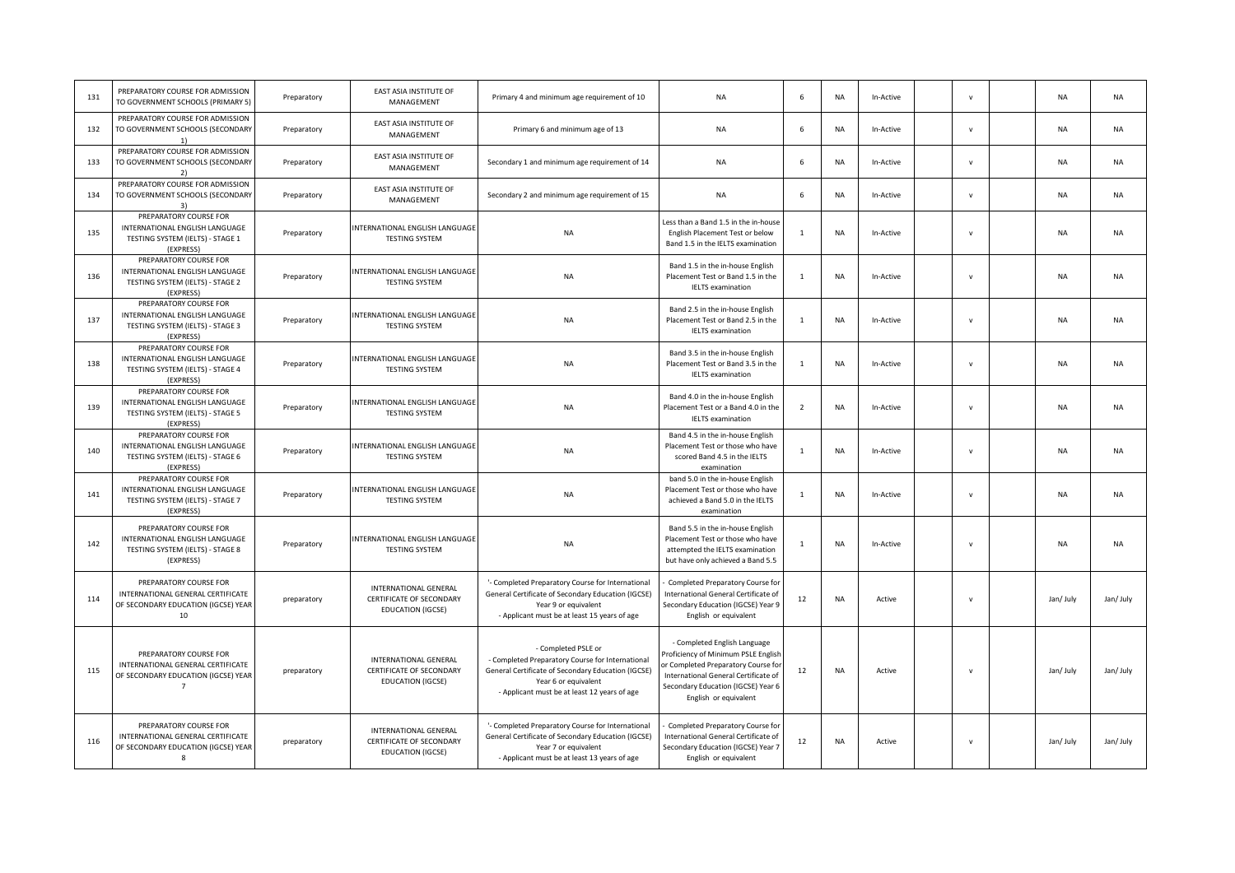| 131 | PREPARATORY COURSE FOR ADMISSION<br>TO GOVERNMENT SCHOOLS (PRIMARY 5)                                                | Preparatory | EAST ASIA INSTITUTE OF<br>MANAGEMENT                                   | Primary 4 and minimum age requirement of 10                                                                                                                                                           | <b>NA</b>                                                                                                                                                                                                         | 6              | <b>NA</b> | In-Active | $\mathbf{v}$ | <b>NA</b> | <b>NA</b> |
|-----|----------------------------------------------------------------------------------------------------------------------|-------------|------------------------------------------------------------------------|-------------------------------------------------------------------------------------------------------------------------------------------------------------------------------------------------------|-------------------------------------------------------------------------------------------------------------------------------------------------------------------------------------------------------------------|----------------|-----------|-----------|--------------|-----------|-----------|
| 132 | PREPARATORY COURSE FOR ADMISSION<br>TO GOVERNMENT SCHOOLS (SECONDARY                                                 | Preparatory | EAST ASIA INSTITUTE OF<br>MANAGEMENT                                   | Primary 6 and minimum age of 13                                                                                                                                                                       | <b>NA</b>                                                                                                                                                                                                         | 6              | <b>NA</b> | In-Active | $\mathbf{v}$ | <b>NA</b> | <b>NA</b> |
| 133 | PREPARATORY COURSE FOR ADMISSION<br>TO GOVERNMENT SCHOOLS (SECONDARY<br>2)                                           | Preparatory | EAST ASIA INSTITUTE OF<br>MANAGEMENT                                   | Secondary 1 and minimum age requirement of 14                                                                                                                                                         | NA                                                                                                                                                                                                                | 6              | <b>NA</b> | In-Active | $\mathbf{v}$ | NA        | <b>NA</b> |
| 134 | PREPARATORY COURSE FOR ADMISSION<br>TO GOVERNMENT SCHOOLS (SECONDARY<br>3)                                           | Preparatory | EAST ASIA INSTITUTE OF<br>MANAGEMENT                                   | Secondary 2 and minimum age requirement of 15                                                                                                                                                         | NA                                                                                                                                                                                                                | 6              | <b>NA</b> | In-Active | $\mathsf{v}$ | <b>NA</b> | <b>NA</b> |
| 135 | PREPARATORY COURSE FOR<br>INTERNATIONAL ENGLISH LANGUAGE<br>TESTING SYSTEM (IELTS) - STAGE 1<br>(EXPRESS)            | Preparatory | INTERNATIONAL ENGLISH LANGUAGI<br><b>TESTING SYSTEM</b>                | <b>NA</b>                                                                                                                                                                                             | Less than a Band 1.5 in the in-house<br>English Placement Test or below<br>Band 1.5 in the IELTS examination                                                                                                      | $\mathbf{1}$   | NA        | In-Active | $\mathbf{v}$ | <b>NA</b> | <b>NA</b> |
| 136 | PREPARATORY COURSE FOR<br>INTERNATIONAL ENGLISH LANGUAGE<br>TESTING SYSTEM (IELTS) - STAGE 2<br>(EXPRESS)            | Preparatory | INTERNATIONAL ENGLISH LANGUAGE<br><b>TESTING SYSTEM</b>                | <b>NA</b>                                                                                                                                                                                             | Band 1.5 in the in-house English<br>Placement Test or Band 1.5 in the<br><b>IELTS</b> examination                                                                                                                 | $\mathbf{1}$   | <b>NA</b> | In-Active | $\mathsf{v}$ | <b>NA</b> | <b>NA</b> |
| 137 | PREPARATORY COURSE FOR<br>INTERNATIONAL ENGLISH LANGUAGE<br>TESTING SYSTEM (IELTS) - STAGE 3<br>(EXPRESS)            | Preparatory | INTERNATIONAL ENGLISH LANGUAGE<br><b>TESTING SYSTEM</b>                | <b>NA</b>                                                                                                                                                                                             | Band 2.5 in the in-house English<br>Placement Test or Band 2.5 in the<br><b>IELTS</b> examination                                                                                                                 | $\overline{1}$ | NA        | In-Active | $\mathbf v$  | NA        | <b>NA</b> |
| 138 | PREPARATORY COURSE FOR<br>INTERNATIONAL ENGLISH LANGUAGE<br>TESTING SYSTEM (IELTS) - STAGE 4<br>(EXPRESS)            | Preparatory | INTERNATIONAL ENGLISH LANGUAGE<br><b>TESTING SYSTEM</b>                | <b>NA</b>                                                                                                                                                                                             | Band 3.5 in the in-house English<br>Placement Test or Band 3.5 in the<br><b>IELTS</b> examination                                                                                                                 | $\mathbf{1}$   | NA        | In-Active | $\mathbf v$  | <b>NA</b> | <b>NA</b> |
| 139 | PREPARATORY COURSE FOR<br>INTERNATIONAL ENGLISH LANGUAGE<br>TESTING SYSTEM (IELTS) - STAGE 5<br>(EXPRESS)            | Preparatory | INTERNATIONAL ENGLISH LANGUAGI<br><b>TESTING SYSTEM</b>                | <b>NA</b>                                                                                                                                                                                             | Band 4.0 in the in-house English<br>Placement Test or a Band 4.0 in the<br><b>IELTS</b> examination                                                                                                               | $\overline{z}$ | NA        | In-Active | $\mathsf{v}$ | <b>NA</b> | <b>NA</b> |
| 140 | PREPARATORY COURSE FOR<br>INTERNATIONAL ENGLISH LANGUAGE<br>TESTING SYSTEM (IELTS) - STAGE 6<br>(EXPRESS)            | Preparatory | INTERNATIONAL ENGLISH LANGUAGE<br><b>TESTING SYSTEM</b>                | <b>NA</b>                                                                                                                                                                                             | Band 4.5 in the in-house English<br>Placement Test or those who have<br>scored Band 4.5 in the IELTS<br>examination                                                                                               | 1              | <b>NA</b> | In-Active | $\mathbf{v}$ | NA        | <b>NA</b> |
| 141 | PREPARATORY COURSE FOR<br>INTERNATIONAL ENGLISH LANGUAGE<br>TESTING SYSTEM (IELTS) - STAGE 7<br>(EXPRESS)            | Preparatory | INTERNATIONAL ENGLISH LANGUAGE<br><b>TESTING SYSTEM</b>                | <b>NA</b>                                                                                                                                                                                             | band 5.0 in the in-house English<br>Placement Test or those who have<br>achieved a Band 5.0 in the IELTS<br>examination                                                                                           | $\mathbf{1}$   | NA        | In-Active | $\mathsf{v}$ | <b>NA</b> | <b>NA</b> |
| 142 | PREPARATORY COURSE FOR<br>INTERNATIONAL ENGLISH LANGUAGE<br>TESTING SYSTEM (IELTS) - STAGE 8<br>(EXPRESS)            | Preparatory | NTERNATIONAL ENGLISH LANGUAGE<br><b>TESTING SYSTEM</b>                 | <b>NA</b>                                                                                                                                                                                             | Band 5.5 in the in-house English<br>Placement Test or those who have<br>attempted the IELTS examination<br>but have only achieved a Band 5.5                                                                      | $\overline{1}$ | NA        | In-Active | $\mathbf v$  | <b>NA</b> | <b>NA</b> |
| 114 | PREPARATORY COURSE FOR<br>INTERNATIONAL GENERAL CERTIFICATE<br>OF SECONDARY EDUCATION (IGCSE) YEAR<br>10             | preparatory | INTERNATIONAL GENERAL<br>CERTIFICATE OF SECONDARY<br>EDUCATION (IGCSE) | '- Completed Preparatory Course for International<br>General Certificate of Secondary Education (IGCSE)<br>Year 9 or equivalent<br>- Applicant must be at least 15 years of age                       | Completed Preparatory Course for<br>International General Certificate of<br>Secondary Education (IGCSE) Year 9<br>English or equivalent                                                                           | 12             | NA        | Active    | $\mathbf v$  | Jan/ July | Jan/ July |
| 115 | PREPARATORY COURSE FOR<br>INTERNATIONAL GENERAL CERTIFICATE<br>OF SECONDARY EDUCATION (IGCSE) YEAR<br>$\overline{7}$ | preparatory | INTERNATIONAL GENERAL<br>CERTIFICATE OF SECONDARY<br>EDUCATION (IGCSE) | - Completed PSLE or<br>- Completed Preparatory Course for International<br>General Certificate of Secondary Education (IGCSE)<br>Year 6 or equivalent<br>- Applicant must be at least 12 years of age | - Completed English Language<br>Proficiency of Minimum PSLE English<br>or Completed Preparatory Course for<br>International General Certificate of<br>Secondary Education (IGCSE) Year 6<br>English or equivalent | 12             | <b>NA</b> | Active    | $\mathbf v$  | Jan/ July | Jan/ July |
| 116 | PREPARATORY COURSE FOR<br>INTERNATIONAL GENERAL CERTIFICATE<br>OF SECONDARY EDUCATION (IGCSE) YEAR<br>8              | preparatory | INTERNATIONAL GENERAL<br>CERTIFICATE OF SECONDARY<br>EDUCATION (IGCSE) | '- Completed Preparatory Course for International<br>General Certificate of Secondary Education (IGCSE)<br>Year 7 or equivalent<br>- Applicant must be at least 13 years of age                       | Completed Preparatory Course for<br>International General Certificate of<br>Secondary Education (IGCSE) Year 7<br>English or equivalent                                                                           | 12             | NA        | Active    | v            | Jan/ July | Jan/ July |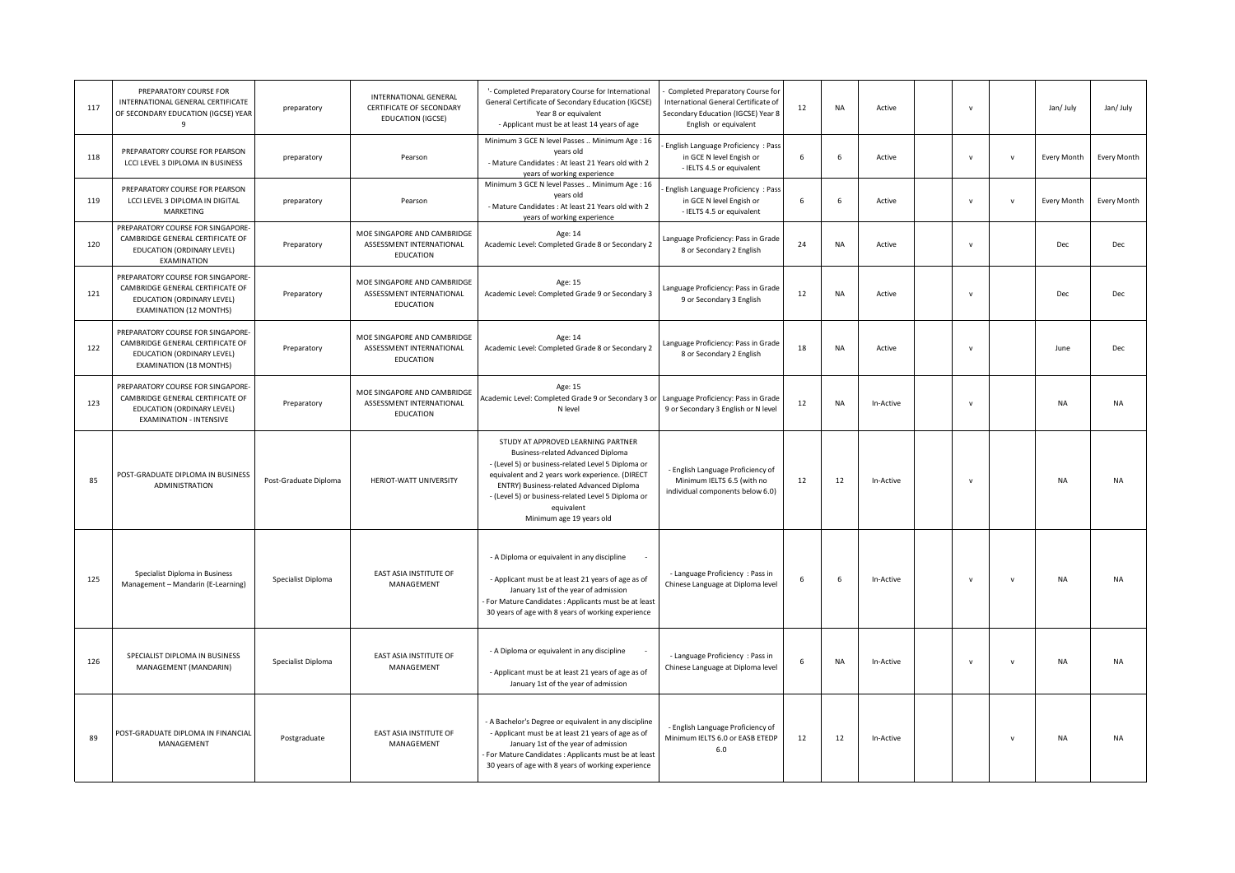| 117 | PREPARATORY COURSE FOR<br>INTERNATIONAL GENERAL CERTIFICATE<br>OF SECONDARY EDUCATION (IGCSE) YEAR                                    | preparatory           | INTERNATIONAL GENERAL<br>CERTIFICATE OF SECONDARY<br><b>EDUCATION (IGCSE)</b> | '- Completed Preparatory Course for International<br>General Certificate of Secondary Education (IGCSE)<br>Year 8 or equivalent<br>- Applicant must be at least 14 years of age                                                                                                                                              | Completed Preparatory Course for<br>International General Certificate of<br>Secondary Education (IGCSE) Year 8<br>English or equivalent | 12 | <b>NA</b> | Active    | $\mathsf{v}$ |              | Jan/ July   | Jan/ July          |
|-----|---------------------------------------------------------------------------------------------------------------------------------------|-----------------------|-------------------------------------------------------------------------------|------------------------------------------------------------------------------------------------------------------------------------------------------------------------------------------------------------------------------------------------------------------------------------------------------------------------------|-----------------------------------------------------------------------------------------------------------------------------------------|----|-----------|-----------|--------------|--------------|-------------|--------------------|
| 118 | PREPARATORY COURSE FOR PEARSON<br>LCCI LEVEL 3 DIPLOMA IN BUSINESS                                                                    | preparatory           | Pearson                                                                       | Minimum 3 GCE N level Passes  Minimum Age : 16<br>years old<br>- Mature Candidates : At least 21 Years old with 2<br>years of working experience                                                                                                                                                                             | English Language Proficiency : Pass<br>in GCE N level Engish or<br>- IELTS 4.5 or equivalent                                            | 6  | 6         | Active    | $\mathbf{v}$ | $\mathbf{v}$ | Every Month | Every Month        |
| 119 | PREPARATORY COURSE FOR PEARSON<br>LCCI LEVEL 3 DIPLOMA IN DIGITAL<br>MARKETING                                                        | preparatory           | Pearson                                                                       | Minimum 3 GCE N level Passes  Minimum Age : 16<br>years old<br>- Mature Candidates : At least 21 Years old with 2<br>years of working experience                                                                                                                                                                             | English Language Proficiency: Pas:<br>in GCE N level Engish or<br>- IELTS 4.5 or equivalent                                             | 6  | 6         | Active    | $\mathbf v$  | $\mathbf{v}$ | Every Month | <b>Every Month</b> |
| 120 | PREPARATORY COURSE FOR SINGAPORE-<br>CAMBRIDGE GENERAL CERTIFICATE OF<br>EDUCATION (ORDINARY LEVEL)<br>EXAMINATION                    | Preparatory           | MOE SINGAPORE AND CAMBRIDGE<br>ASSESSMENT INTERNATIONAL<br>EDUCATION          | Age: 14<br>Academic Level: Completed Grade 8 or Secondary 2                                                                                                                                                                                                                                                                  | Language Proficiency: Pass in Grade<br>8 or Secondary 2 English                                                                         | 24 | NA        | Active    | $\mathsf{v}$ |              | Dec         | Dec                |
| 121 | PREPARATORY COURSE FOR SINGAPORE-<br>CAMBRIDGE GENERAL CERTIFICATE OF<br>EDUCATION (ORDINARY LEVEL)<br>EXAMINATION (12 MONTHS)        | Preparatory           | MOE SINGAPORE AND CAMBRIDGE<br>ASSESSMENT INTERNATIONAL<br>EDUCATION          | Age: 15<br>Academic Level: Completed Grade 9 or Secondary 3                                                                                                                                                                                                                                                                  | Language Proficiency: Pass in Grade<br>9 or Secondary 3 English                                                                         | 12 | <b>NA</b> | Active    | $\mathbf{v}$ |              | Dec         | Dec                |
| 122 | PREPARATORY COURSE FOR SINGAPORE-<br>CAMBRIDGE GENERAL CERTIFICATE OF<br>EDUCATION (ORDINARY LEVEL)<br>EXAMINATION (18 MONTHS)        | Preparatory           | MOE SINGAPORE AND CAMBRIDGE<br>ASSESSMENT INTERNATIONAL<br>EDUCATION          | Age: 14<br>Academic Level: Completed Grade 8 or Secondary 2                                                                                                                                                                                                                                                                  | Language Proficiency: Pass in Grade<br>8 or Secondary 2 English                                                                         | 18 | NA        | Active    | $\mathsf{v}$ |              | June        | Dec                |
| 123 | PREPARATORY COURSE FOR SINGAPORE-<br>CAMBRIDGE GENERAL CERTIFICATE OF<br>EDUCATION (ORDINARY LEVEL)<br><b>EXAMINATION - INTENSIVE</b> | Preparatory           | MOE SINGAPORE AND CAMBRIDGE<br>ASSESSMENT INTERNATIONAL<br>EDUCATION          | Age: 15<br>Academic Level: Completed Grade 9 or Secondary 3 or<br>N level                                                                                                                                                                                                                                                    | Language Proficiency: Pass in Grade<br>9 or Secondary 3 English or N level                                                              | 12 | <b>NA</b> | In-Active | $\mathsf{v}$ |              | <b>NA</b>   | <b>NA</b>          |
| 85  | POST-GRADUATE DIPLOMA IN BUSINESS<br>ADMINISTRATION                                                                                   | Post-Graduate Diploma | HERIOT-WATT UNIVERSITY                                                        | STUDY AT APPROVED LEARNING PARTNER<br>Business-related Advanced Diploma<br>- (Level 5) or business-related Level 5 Diploma or<br>equivalent and 2 years work experience. (DIRECT<br>ENTRY) Business-related Advanced Diploma<br>- (Level 5) or business-related Level 5 Diploma or<br>equivalent<br>Minimum age 19 years old | - English Language Proficiency of<br>Minimum IELTS 6.5 (with no<br>individual components below 6.0)                                     | 12 | 12        | In-Active | $\mathbf v$  |              | <b>NA</b>   | <b>NA</b>          |
| 125 | Specialist Diploma in Business<br>Management - Mandarin (E-Learning)                                                                  | Specialist Diploma    | EAST ASIA INSTITUTE OF<br>MANAGEMENT                                          | - A Diploma or equivalent in any discipline<br>- Applicant must be at least 21 years of age as of<br>January 1st of the year of admission<br>For Mature Candidates : Applicants must be at least<br>30 years of age with 8 years of working experience                                                                       | - Language Proficiency : Pass in<br>Chinese Language at Diploma level                                                                   | 6  | 6         | In-Active | $\mathsf{v}$ | $\mathsf{v}$ | NA          | <b>NA</b>          |
| 126 | SPECIALIST DIPLOMA IN BUSINESS<br>MANAGEMENT (MANDARIN)                                                                               | Specialist Diploma    | EAST ASIA INSTITUTE OF<br>MANAGEMENT                                          | - A Diploma or equivalent in any discipline<br>- Applicant must be at least 21 years of age as of<br>January 1st of the year of admission                                                                                                                                                                                    | - Language Proficiency : Pass in<br>Chinese Language at Diploma level                                                                   | 6  | NA        | In-Active | $\mathsf{v}$ | $\mathsf{v}$ | NA          | <b>NA</b>          |
| 89  | POST-GRADUATE DIPLOMA IN FINANCIAL<br>MANAGEMENT                                                                                      | Postgraduate          | EAST ASIA INSTITUTE OF<br>MANAGEMENT                                          | - A Bachelor's Degree or equivalent in any discipline<br>- Applicant must be at least 21 years of age as of<br>January 1st of the year of admission<br>For Mature Candidates : Applicants must be at least<br>30 years of age with 8 years of working experience                                                             | - English Language Proficiency of<br>Minimum IELTS 6.0 or EASB ETEDP<br>6.0                                                             | 12 | 12        | In-Active |              | $\mathbf{v}$ | NA          | <b>NA</b>          |